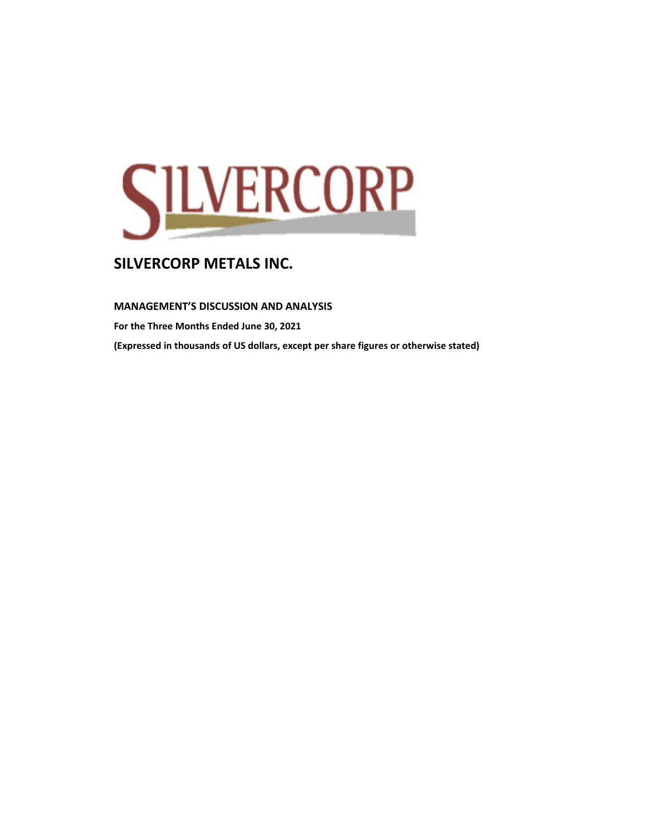

**MANAGEMENT'S DISCUSSION AND ANALYSIS** 

**For the Three Months Ended June 30, 2021**

**(Expressed in thousands of US dollars, except per share figures or otherwise stated)**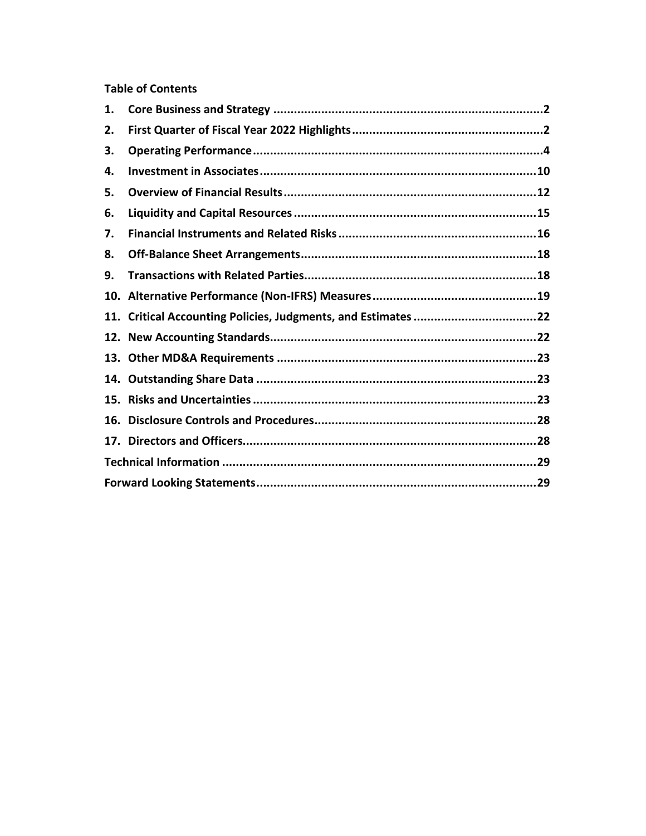## **Table of Contents**

| 1. |                                                               |  |
|----|---------------------------------------------------------------|--|
| 2. |                                                               |  |
| З. |                                                               |  |
| 4. |                                                               |  |
| 5. |                                                               |  |
| 6. |                                                               |  |
| 7. |                                                               |  |
| 8. |                                                               |  |
| 9. |                                                               |  |
|    |                                                               |  |
|    | 11. Critical Accounting Policies, Judgments, and Estimates 22 |  |
|    |                                                               |  |
|    |                                                               |  |
|    |                                                               |  |
|    |                                                               |  |
|    |                                                               |  |
|    |                                                               |  |
|    |                                                               |  |
|    |                                                               |  |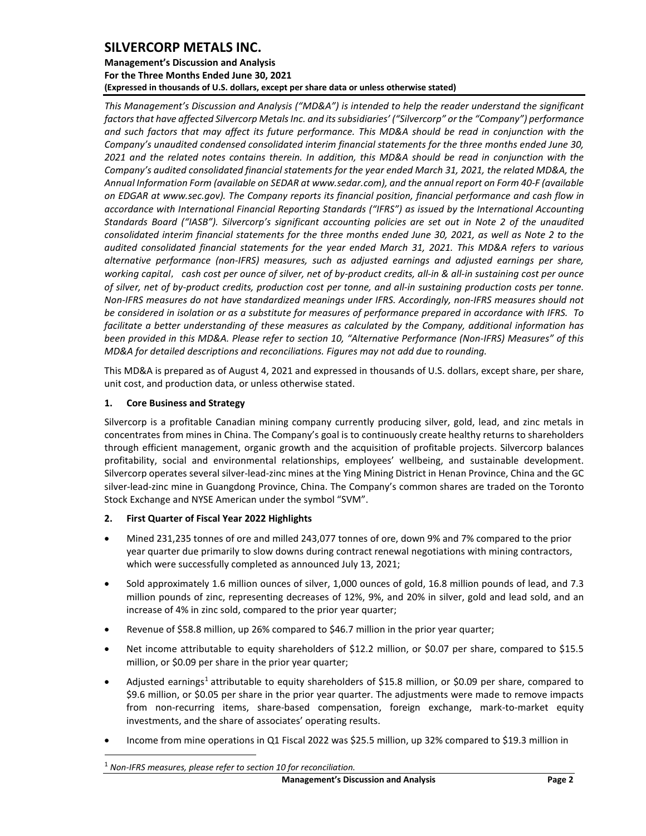**Management's Discussion and Analysis For the Three Months Ended June 30, 2021 (Expressed in thousands of U.S. dollars, except per share data or unless otherwise stated)** 

*This Management's Discussion and Analysis ("MD&A") is intended to help the reader understand the significant factors that have affected Silvercorp Metals Inc. and its subsidiaries' ("Silvercorp" or the "Company") performance and such factors that may affect its future performance. This MD&A should be read in conjunction with the Company's unaudited condensed consolidated interim financial statements for the three months ended June 30, 2021 and the related notes contains therein. In addition, this MD&A should be read in conjunction with the Company's audited consolidated financial statements for the year ended March 31, 2021, the related MD&A, the Annual Information Form (available on SEDAR at www.sedar.com), and the annual report on Form 40-F (available on EDGAR at www.sec.gov). The Company reports its financial position, financial performance and cash flow in accordance with International Financial Reporting Standards ("IFRS") as issued by the International Accounting Standards Board ("IASB"). Silvercorp's significant accounting policies are set out in Note 2 of the unaudited consolidated interim financial statements for the three months ended June 30, 2021, as well as Note 2 to the audited consolidated financial statements for the year ended March 31, 2021. This MD&A refers to various alternative performance (non-IFRS) measures, such as adjusted earnings and adjusted earnings per share, working capital*, *cash cost per ounce of silver, net of by-product credits, all-in & all-in sustaining cost per ounce of silver, net of by-product credits, production cost per tonne, and all-in sustaining production costs per tonne. Non-IFRS measures do not have standardized meanings under IFRS. Accordingly, non-IFRS measures should not be considered in isolation or as a substitute for measures of performance prepared in accordance with IFRS. To facilitate a better understanding of these measures as calculated by the Company, additional information has been provided in this MD&A. Please refer to section 10, "Alternative Performance (Non-IFRS) Measures" of this MD&A for detailed descriptions and reconciliations. Figures may not add due to rounding.*

This MD&A is prepared as of August 4, 2021 and expressed in thousands of U.S. dollars, except share, per share, unit cost, and production data, or unless otherwise stated.

## <span id="page-2-0"></span>**1. Core Business and Strategy**

Silvercorp is a profitable Canadian mining company currently producing silver, gold, lead, and zinc metals in concentrates from mines in China. The Company's goal is to continuously create healthy returns to shareholders through efficient management, organic growth and the acquisition of profitable projects. Silvercorp balances profitability, social and environmental relationships, employees' wellbeing, and sustainable development. Silvercorp operates several silver-lead-zinc mines at the Ying Mining District in Henan Province, China and the GC silver-lead-zinc mine in Guangdong Province, China. The Company's common shares are traded on the Toronto Stock Exchange and NYSE American under the symbol "SVM".

## <span id="page-2-1"></span>**2. First Quarter of Fiscal Year 2022 Highlights**

- Mined 231,235 tonnes of ore and milled 243,077 tonnes of ore, down 9% and 7% compared to the prior year quarter due primarily to slow downs during contract renewal negotiations with mining contractors, which were successfully completed as announced July 13, 2021;
- Sold approximately 1.6 million ounces of silver, 1,000 ounces of gold, 16.8 million pounds of lead, and 7.3 million pounds of zinc, representing decreases of 12%, 9%, and 20% in silver, gold and lead sold, and an increase of 4% in zinc sold, compared to the prior year quarter;
- Revenue of \$58.8 million, up 26% compared to \$46.7 million in the prior year quarter;
- Net income attributable to equity shareholders of \$12.2 million, or \$0.07 per share, compared to \$15.5 million, or \$0.09 per share in the prior year quarter;
- Adjusted earnings<sup>[1](#page-2-2)</sup> attributable to equity shareholders of \$15.8 million, or \$0.09 per share, compared to \$9.6 million, or \$0.05 per share in the prior year quarter. The adjustments were made to remove impacts from non-recurring items, share-based compensation, foreign exchange, mark-to-market equity investments, and the share of associates' operating results.
- <span id="page-2-2"></span>• Income from mine operations in Q1 Fiscal 2022 was \$25.5 million, up 32% compared to \$19.3 million in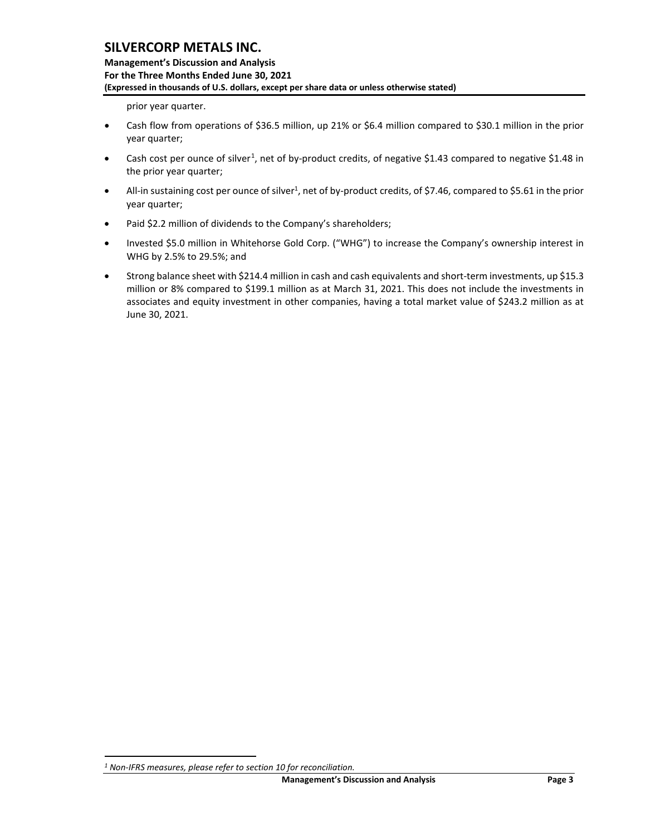**Management's Discussion and Analysis For the Three Months Ended June 30, 2021 (Expressed in thousands of U.S. dollars, except per share data or unless otherwise stated)** 

prior year quarter.

- Cash flow from operations of \$36.5 million, up 21% or \$6.4 million compared to \$30.1 million in the prior year quarter;
- Cash cost per ounce of silver<sup>[1](#page-3-0)</sup>, net of by-product credits, of negative \$1.43 compared to negative \$1.48 in the prior year quarter;
- All-in sustaining cost per ounce of silver<sup>1</sup>, net of by-product credits, of \$7.46, compared to \$5.61 in the prior year quarter;
- Paid \$2.2 million of dividends to the Company's shareholders;
- Invested \$5.0 million in Whitehorse Gold Corp. ("WHG") to increase the Company's ownership interest in WHG by 2.5% to 29.5%; and
- Strong balance sheet with \$214.4 million in cash and cash equivalents and short-term investments, up \$15.3 million or 8% compared to \$199.1 million as at March 31, 2021. This does not include the investments in associates and equity investment in other companies, having a total market value of \$243.2 million as at June 30, 2021.

<span id="page-3-0"></span>*<sup>1</sup> Non-IFRS measures, please refer to section 10 for reconciliation.*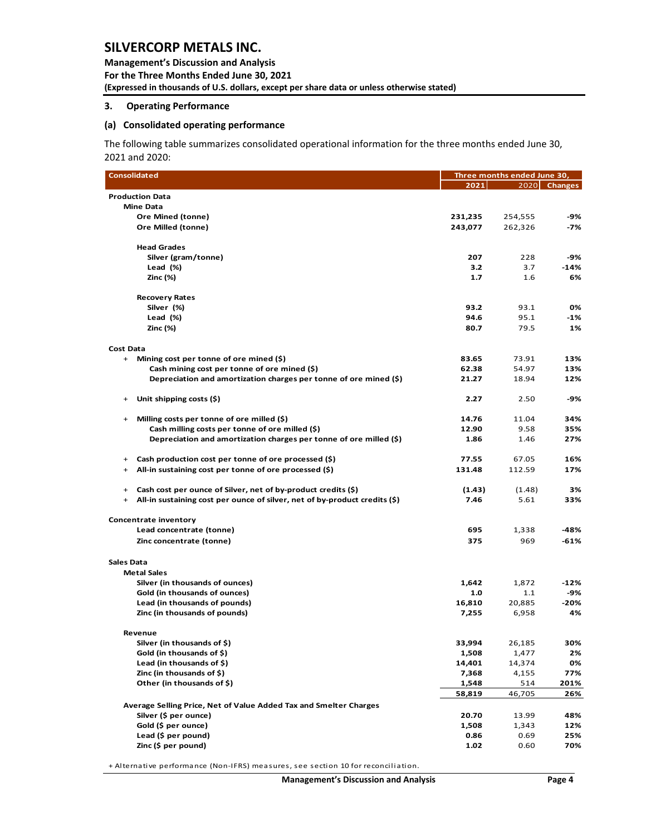**Management's Discussion and Analysis For the Three Months Ended June 30, 2021 (Expressed in thousands of U.S. dollars, except per share data or unless otherwise stated)** 

#### <span id="page-4-0"></span>**3. Operating Performance**

#### **(a) Consolidated operating performance**

The following table summarizes consolidated operational information for the three months ended June 30, 2021 and 2020:

| <b>Consolidated</b>                                                                     | Three months ended June 30, |         |              |  |  |  |
|-----------------------------------------------------------------------------------------|-----------------------------|---------|--------------|--|--|--|
|                                                                                         | 2021                        |         | 2020 Changes |  |  |  |
| <b>Production Data</b>                                                                  |                             |         |              |  |  |  |
| <b>Mine Data</b>                                                                        |                             |         |              |  |  |  |
| Ore Mined (tonne)                                                                       | 231,235                     | 254,555 | -9%          |  |  |  |
| Ore Milled (tonne)                                                                      | 243,077                     | 262,326 | -7%          |  |  |  |
| <b>Head Grades</b>                                                                      |                             |         |              |  |  |  |
| Silver (gram/tonne)                                                                     | 207                         | 228     | -9%          |  |  |  |
| Lead (%)                                                                                | 3.2                         | 3.7     | $-14%$       |  |  |  |
| Zinc (%)                                                                                | 1.7                         | 1.6     | 6%           |  |  |  |
| <b>Recovery Rates</b>                                                                   |                             |         |              |  |  |  |
| Silver (%)                                                                              | 93.2                        | 93.1    | 0%           |  |  |  |
| Lead (%)                                                                                | 94.6                        | 95.1    | -1%          |  |  |  |
| Zinc (%)                                                                                | 80.7                        | 79.5    | 1%           |  |  |  |
| <b>Cost Data</b>                                                                        |                             |         |              |  |  |  |
| Mining cost per tonne of ore mined $(\xi)$<br>$^{+}$                                    | 83.65                       | 73.91   | 13%          |  |  |  |
| Cash mining cost per tonne of ore mined (\$)                                            | 62.38                       | 54.97   | 13%          |  |  |  |
| Depreciation and amortization charges per tonne of ore mined (\$)                       | 21.27                       | 18.94   | 12%          |  |  |  |
| Unit shipping costs (\$)<br>$\ddot{}$                                                   | 2.27                        | 2.50    | -9%          |  |  |  |
| Milling costs per tonne of ore milled (\$)<br>$\ddot{}$                                 | 14.76                       | 11.04   | 34%          |  |  |  |
| Cash milling costs per tonne of ore milled (\$)                                         | 12.90                       | 9.58    | 35%          |  |  |  |
| Depreciation and amortization charges per tonne of ore milled $(5)$                     | 1.86                        | 1.46    | 27%          |  |  |  |
| Cash production cost per tonne of ore processed (\$)<br>$\ddot{}$                       | 77.55                       | 67.05   | 16%          |  |  |  |
| All-in sustaining cost per tonne of ore processed $(\xi)$<br>$\ddot{}$                  | 131.48                      | 112.59  | 17%          |  |  |  |
| Cash cost per ounce of Silver, net of by-product credits (\$)<br>$\ddot{}$              | (1.43)                      | (1.48)  | 3%           |  |  |  |
| All-in sustaining cost per ounce of silver, net of by-product credits (\$)<br>$\ddot{}$ | 7.46                        | 5.61    | 33%          |  |  |  |
| Concentrate inventory                                                                   |                             |         |              |  |  |  |
| Lead concentrate (tonne)                                                                | 695                         | 1,338   | -48%         |  |  |  |
| Zinc concentrate (tonne)                                                                | 375                         | 969     | $-61%$       |  |  |  |
| Sales Data                                                                              |                             |         |              |  |  |  |
| <b>Metal Sales</b>                                                                      |                             |         |              |  |  |  |
| Silver (in thousands of ounces)                                                         | 1,642                       | 1,872   | $-12%$       |  |  |  |
| Gold (in thousands of ounces)                                                           | 1.0                         | 1.1     | -9%          |  |  |  |
| Lead (in thousands of pounds)                                                           | 16,810                      | 20,885  | $-20%$       |  |  |  |
| Zinc (in thousands of pounds)                                                           | 7,255                       | 6,958   | 4%           |  |  |  |
| Revenue                                                                                 |                             |         |              |  |  |  |
| Silver (in thousands of \$)                                                             | 33,994                      | 26,185  | 30%          |  |  |  |
| Gold (in thousands of \$)                                                               | 1,508                       | 1,477   | 2%           |  |  |  |
| Lead (in thousands of \$)                                                               | 14,401                      | 14,374  | 0%           |  |  |  |
| Zinc (in thousands of \$)                                                               | 7,368                       | 4,155   | 77%          |  |  |  |
| Other (in thousands of \$)                                                              | 1,548                       | 514     | 201%         |  |  |  |
| Average Selling Price, Net of Value Added Tax and Smelter Charges                       | 58,819                      | 46,705  | 26%          |  |  |  |
| Silver (\$ per ounce)                                                                   | 20.70                       | 13.99   | 48%          |  |  |  |
| Gold (\$ per ounce)                                                                     | 1,508                       | 1,343   | 12%          |  |  |  |
| Lead (\$ per pound)                                                                     | 0.86                        | 0.69    | 25%          |  |  |  |
| Zinc (\$ per pound)                                                                     | 1.02                        | 0.60    | 70%          |  |  |  |

+ Alternative performance (Non-IFRS) measures, see section 10 for reconciliation.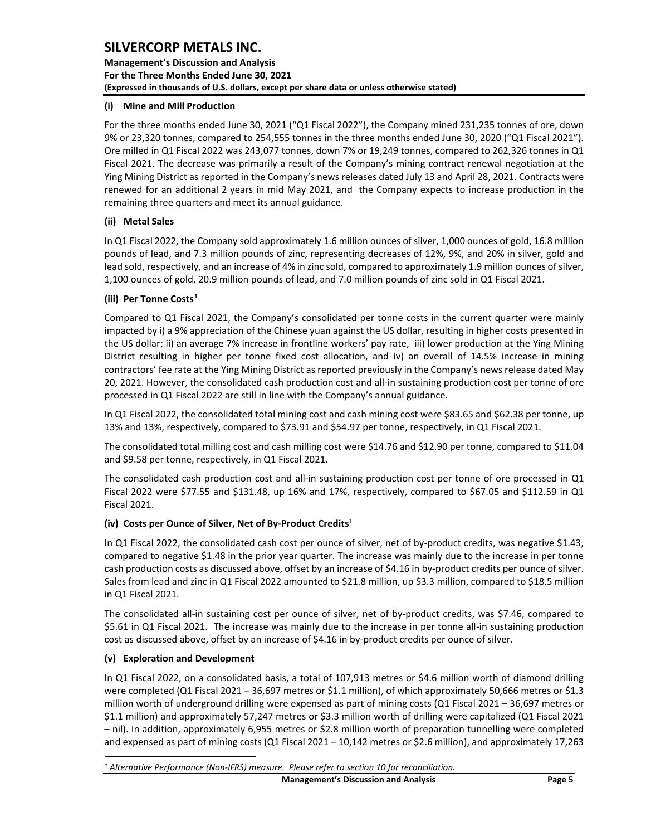**Management's Discussion and Analysis For the Three Months Ended June 30, 2021 (Expressed in thousands of U.S. dollars, except per share data or unless otherwise stated)** 

## **(i) Mine and Mill Production**

For the three months ended June 30, 2021 ("Q1 Fiscal 2022"), the Company mined 231,235 tonnes of ore, down 9% or 23,320 tonnes, compared to 254,555 tonnes in the three months ended June 30, 2020 ("Q1 Fiscal 2021"). Ore milled in Q1 Fiscal 2022 was 243,077 tonnes, down 7% or 19,249 tonnes, compared to 262,326 tonnes in Q1 Fiscal 2021. The decrease was primarily a result of the Company's mining contract renewal negotiation at the Ying Mining District as reported in the Company's news releases dated July 13 and April 28, 2021. Contracts were renewed for an additional 2 years in mid May 2021, and the Company expects to increase production in the remaining three quarters and meet its annual guidance.

## **(ii) Metal Sales**

In Q1 Fiscal 2022, the Company sold approximately 1.6 million ounces of silver, 1,000 ounces of gold, 16.8 million pounds of lead, and 7.3 million pounds of zinc, representing decreases of 12%, 9%, and 20% in silver, gold and lead sold, respectively, and an increase of 4% in zinc sold, compared to approximately 1.9 million ounces of silver, 1,100 ounces of gold, 20.9 million pounds of lead, and 7.0 million pounds of zinc sold in Q1 Fiscal 2021.

## **(iii) Per Tonne Costs[1](#page-5-0)**

Compared to Q1 Fiscal 2021, the Company's consolidated per tonne costs in the current quarter were mainly impacted by i) a 9% appreciation of the Chinese yuan against the US dollar, resulting in higher costs presented in the US dollar; ii) an average 7% increase in frontline workers' pay rate, iii) lower production at the Ying Mining District resulting in higher per tonne fixed cost allocation, and iv) an overall of 14.5% increase in mining contractors' fee rate at the Ying Mining District as reported previously in the Company's news release dated May 20, 2021. However, the consolidated cash production cost and all-in sustaining production cost per tonne of ore processed in Q1 Fiscal 2022 are still in line with the Company's annual guidance.

In Q1 Fiscal 2022, the consolidated total mining cost and cash mining cost were \$83.65 and \$62.38 per tonne, up 13% and 13%, respectively, compared to \$73.91 and \$54.97 per tonne, respectively, in Q1 Fiscal 2021.

The consolidated total milling cost and cash milling cost were \$14.76 and \$12.90 per tonne, compared to \$11.04 and \$9.58 per tonne, respectively, in Q1 Fiscal 2021.

The consolidated cash production cost and all-in sustaining production cost per tonne of ore processed in Q1 Fiscal 2022 were \$77.55 and \$131.48, up 16% and 17%, respectively, compared to \$67.05 and \$112.59 in Q1 Fiscal 2021.

## **(iv) Costs per Ounce of Silver, Net of By-Product Credits**<sup>1</sup>

In Q1 Fiscal 2022, the consolidated cash cost per ounce of silver, net of by-product credits, was negative \$1.43, compared to negative \$1.48 in the prior year quarter. The increase was mainly due to the increase in per tonne cash production costs as discussed above, offset by an increase of \$4.16 in by-product credits per ounce of silver. Sales from lead and zinc in Q1 Fiscal 2022 amounted to \$21.8 million, up \$3.3 million, compared to \$18.5 million in Q1 Fiscal 2021.

The consolidated all-in sustaining cost per ounce of silver, net of by-product credits, was \$7.46, compared to \$5.61 in Q1 Fiscal 2021. The increase was mainly due to the increase in per tonne all-in sustaining production cost as discussed above, offset by an increase of \$4.16 in by-product credits per ounce of silver.

### **(v) Exploration and Development**

In Q1 Fiscal 2022, on a consolidated basis, a total of 107,913 metres or \$4.6 million worth of diamond drilling were completed (Q1 Fiscal 2021 – 36,697 metres or \$1.1 million), of which approximately 50,666 metres or \$1.3 million worth of underground drilling were expensed as part of mining costs (Q1 Fiscal 2021 – 36,697 metres or \$1.1 million) and approximately 57,247 metres or \$3.3 million worth of drilling were capitalized (Q1 Fiscal 2021 – nil). In addition, approximately 6,955 metres or \$2.8 million worth of preparation tunnelling were completed and expensed as part of mining costs (Q1 Fiscal 2021 – 10,142 metres or \$2.6 million), and approximately 17,263

<span id="page-5-0"></span>*<sup>1</sup> Alternative Performance (Non-IFRS) measure. Please refer to section 10 for reconciliation.*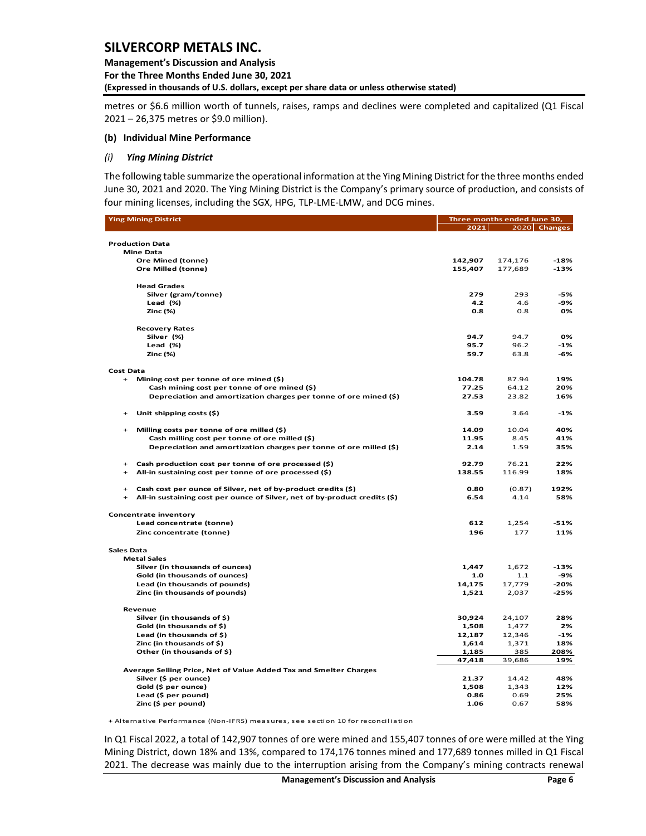**Management's Discussion and Analysis For the Three Months Ended June 30, 2021 (Expressed in thousands of U.S. dollars, except per share data or unless otherwise stated)** 

metres or \$6.6 million worth of tunnels, raises, ramps and declines were completed and capitalized (Q1 Fiscal 2021 – 26,375 metres or \$9.0 million).

#### **(b) Individual Mine Performance**

#### *(i) Ying Mining District*

The following table summarize the operational information at the Ying Mining District for the three months ended June 30, 2021 and 2020. The Ying Mining District is the Company's primary source of production, and consists of four mining licenses, including the SGX, HPG, TLP-LME-LMW, and DCG mines.

| <b>Ying Mining District</b>                                                 | Three months ended June 30, |                 |                |  |  |  |
|-----------------------------------------------------------------------------|-----------------------------|-----------------|----------------|--|--|--|
|                                                                             | 2021                        |                 | $2020$ Changes |  |  |  |
|                                                                             |                             |                 |                |  |  |  |
| <b>Production Data</b>                                                      |                             |                 |                |  |  |  |
| <b>Mine Data</b>                                                            |                             |                 |                |  |  |  |
| Ore Mined (tonne)                                                           | 142,907                     | 174,176         | $-18%$         |  |  |  |
| Ore Milled (tonne)                                                          | 155,407                     | 177,689         | $-13%$         |  |  |  |
| <b>Head Grades</b>                                                          |                             |                 |                |  |  |  |
| Silver (gram/tonne)                                                         | 279                         | 293             | -5%            |  |  |  |
| Lead $(\%)$                                                                 | 4.2                         | 4.6             | -9%            |  |  |  |
| Zinc (%)                                                                    | 0.8                         | 0.8             | 0%             |  |  |  |
|                                                                             |                             |                 |                |  |  |  |
| <b>Recovery Rates</b>                                                       |                             |                 |                |  |  |  |
| Silver (%)                                                                  | 94.7                        | 94.7            | 0%             |  |  |  |
| Lead $(\%)$                                                                 | 95.7                        | 96.2            | -1%            |  |  |  |
| Zinc (%)                                                                    | 59.7                        | 63.8            | -6%            |  |  |  |
|                                                                             |                             |                 |                |  |  |  |
| <b>Cost Data</b>                                                            |                             |                 |                |  |  |  |
| Mining cost per tonne of ore mined (\$)<br>$\begin{array}{c} + \end{array}$ | 104.78                      | 87.94           | 19%            |  |  |  |
| Cash mining cost per tonne of ore mined (\$)                                | 77.25                       | 64.12           | 20%            |  |  |  |
| Depreciation and amortization charges per tonne of ore mined (\$)           | 27.53                       | 23.82           | 16%            |  |  |  |
| Unit shipping costs (\$)<br>$\ddot{}$                                       | 3.59                        | 3.64            | $-1%$          |  |  |  |
|                                                                             |                             |                 |                |  |  |  |
| Milling costs per tonne of ore milled (\$)<br>$+$                           | 14.09                       | 10.04           | 40%            |  |  |  |
| Cash milling cost per tonne of ore milled (\$)                              | 11.95                       | 8.45            | 41%            |  |  |  |
| Depreciation and amortization charges per tonne of ore milled (\$)          | 2.14                        | 1.59            | 35%            |  |  |  |
|                                                                             |                             |                 |                |  |  |  |
| Cash production cost per tonne of ore processed (\$)                        | 92.79                       | 76.21           | 22%            |  |  |  |
| All-in sustaining cost per tonne of ore processed (\$)<br>$+$               | 138.55                      | 116.99          | 18%            |  |  |  |
|                                                                             |                             |                 |                |  |  |  |
| Cash cost per ounce of Silver, net of by-product credits (\$)<br>$+$<br>$+$ | 0.80<br>6.54                | (0.87)          | 192%<br>58%    |  |  |  |
| All-in sustaining cost per ounce of Silver, net of by-product credits (\$)  |                             | 4.14            |                |  |  |  |
| Concentrate inventory                                                       |                             |                 |                |  |  |  |
| Lead concentrate (tonne)                                                    | 612                         | 1,254           | $-51%$         |  |  |  |
| Zinc concentrate (tonne)                                                    | 196                         | 177             | 11%            |  |  |  |
|                                                                             |                             |                 |                |  |  |  |
| <b>Sales Data</b>                                                           |                             |                 |                |  |  |  |
| <b>Metal Sales</b>                                                          |                             |                 |                |  |  |  |
| Silver (in thousands of ounces)                                             | 1.447                       | 1,672           | $-13%$         |  |  |  |
| Gold (in thousands of ounces)                                               | 1.0                         | 1.1             | -9%            |  |  |  |
| Lead (in thousands of pounds)                                               | 14,175                      | 17,779          | -20%           |  |  |  |
| Zinc (in thousands of pounds)                                               | 1,521                       | 2,037           | $-25%$         |  |  |  |
|                                                                             |                             |                 |                |  |  |  |
| Revenue                                                                     |                             |                 |                |  |  |  |
| Silver (in thousands of \$)                                                 | 30,924                      | 24,107          | 28%<br>2%      |  |  |  |
| Gold (in thousands of \$)<br>Lead (in thousands of \$)                      | 1,508<br>12,187             | 1,477<br>12,346 | $-1%$          |  |  |  |
| Zinc (in thousands of \$)                                                   | 1,614                       | 1,371           | 18%            |  |  |  |
| Other (in thousands of \$)                                                  | 1,185                       | 385             | 208%           |  |  |  |
|                                                                             | 47,418                      | 39,686          | 19%            |  |  |  |
| Average Selling Price, Net of Value Added Tax and Smelter Charges           |                             |                 |                |  |  |  |
| Silver (\$ per ounce)                                                       | 21.37                       | 14.42           | 48%            |  |  |  |
| Gold (\$ per ounce)                                                         | 1,508                       | 1,343           | 12%            |  |  |  |
| Lead (\$ per pound)                                                         | 0.86                        | 0.69            | 25%            |  |  |  |
| Zinc (\$ per pound)                                                         | 1.06                        | 0.67            | 58%            |  |  |  |
|                                                                             |                             |                 |                |  |  |  |

+ Alternative Performance (Non-IFRS) measures, see section 10 for reconciliation

In Q1 Fiscal 2022, a total of 142,907 tonnes of ore were mined and 155,407 tonnes of ore were milled at the Ying Mining District, down 18% and 13%, compared to 174,176 tonnes mined and 177,689 tonnes milled in Q1 Fiscal 2021. The decrease was mainly due to the interruption arising from the Company's mining contracts renewal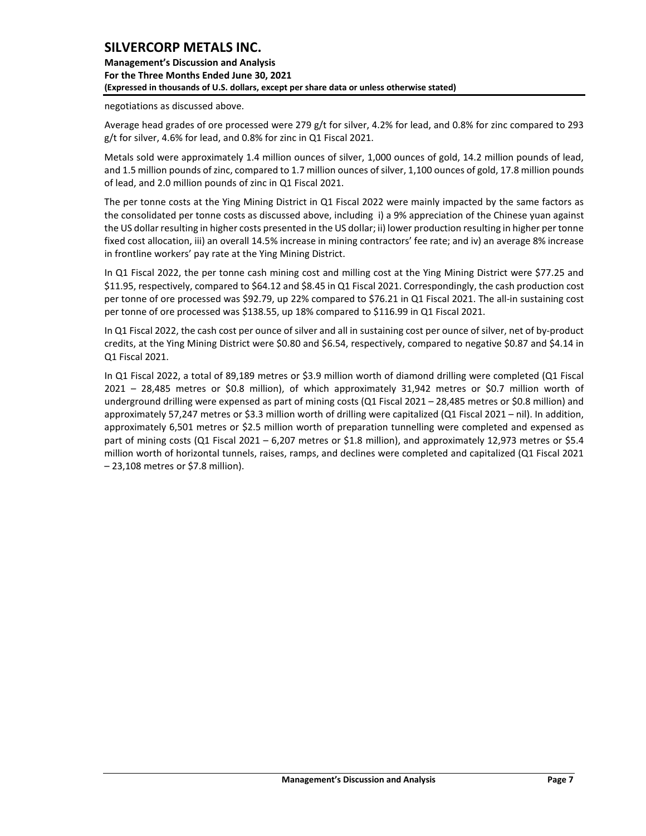**Management's Discussion and Analysis For the Three Months Ended June 30, 2021 (Expressed in thousands of U.S. dollars, except per share data or unless otherwise stated)** 

negotiations as discussed above.

Average head grades of ore processed were 279 g/t for silver, 4.2% for lead, and 0.8% for zinc compared to 293 g/t for silver, 4.6% for lead, and 0.8% for zinc in Q1 Fiscal 2021.

Metals sold were approximately 1.4 million ounces of silver, 1,000 ounces of gold, 14.2 million pounds of lead, and 1.5 million pounds of zinc, compared to 1.7 million ounces of silver, 1,100 ounces of gold, 17.8 million pounds of lead, and 2.0 million pounds of zinc in Q1 Fiscal 2021.

The per tonne costs at the Ying Mining District in Q1 Fiscal 2022 were mainly impacted by the same factors as the consolidated per tonne costs as discussed above, including i) a 9% appreciation of the Chinese yuan against the US dollar resulting in higher costs presented in the US dollar; ii) lower production resulting in higher per tonne fixed cost allocation, iii) an overall 14.5% increase in mining contractors' fee rate; and iv) an average 8% increase in frontline workers' pay rate at the Ying Mining District.

In Q1 Fiscal 2022, the per tonne cash mining cost and milling cost at the Ying Mining District were \$77.25 and \$11.95, respectively, compared to \$64.12 and \$8.45 in Q1 Fiscal 2021. Correspondingly, the cash production cost per tonne of ore processed was \$92.79, up 22% compared to \$76.21 in Q1 Fiscal 2021. The all-in sustaining cost per tonne of ore processed was \$138.55, up 18% compared to \$116.99 in Q1 Fiscal 2021.

In Q1 Fiscal 2022, the cash cost per ounce of silver and all in sustaining cost per ounce of silver, net of by-product credits, at the Ying Mining District were \$0.80 and \$6.54, respectively, compared to negative \$0.87 and \$4.14 in Q1 Fiscal 2021.

In Q1 Fiscal 2022, a total of 89,189 metres or \$3.9 million worth of diamond drilling were completed (Q1 Fiscal 2021 – 28,485 metres or \$0.8 million), of which approximately 31,942 metres or \$0.7 million worth of underground drilling were expensed as part of mining costs (Q1 Fiscal 2021 – 28,485 metres or \$0.8 million) and approximately 57,247 metres or \$3.3 million worth of drilling were capitalized (Q1 Fiscal 2021 – nil). In addition, approximately 6,501 metres or \$2.5 million worth of preparation tunnelling were completed and expensed as part of mining costs (Q1 Fiscal 2021 – 6,207 metres or \$1.8 million), and approximately 12,973 metres or \$5.4 million worth of horizontal tunnels, raises, ramps, and declines were completed and capitalized (Q1 Fiscal 2021 – 23,108 metres or \$7.8 million).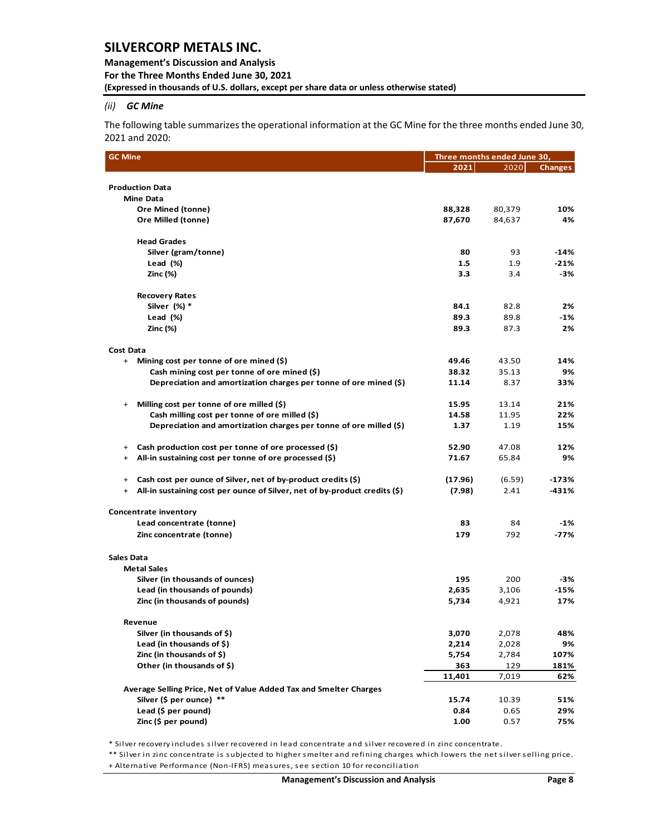### **Management's Discussion and Analysis For the Three Months Ended June 30, 2021 (Expressed in thousands of U.S. dollars, except per share data or unless otherwise stated)**

### *(ii) GC Mine*

The following table summarizes the operational information at the GC Mine for the three months ended June 30, 2021 and 2020:

| <b>GC Mine</b>                                                                          | Three months ended June 30, |                |                |  |  |  |
|-----------------------------------------------------------------------------------------|-----------------------------|----------------|----------------|--|--|--|
|                                                                                         | 2021                        | 2020           | <b>Changes</b> |  |  |  |
|                                                                                         |                             |                |                |  |  |  |
| <b>Production Data</b>                                                                  |                             |                |                |  |  |  |
| <b>Mine Data</b>                                                                        |                             |                |                |  |  |  |
| <b>Ore Mined (tonne)</b>                                                                | 88,328                      | 80,379         | 10%            |  |  |  |
| Ore Milled (tonne)                                                                      | 87,670                      | 84,637         | 4%             |  |  |  |
| <b>Head Grades</b>                                                                      |                             |                |                |  |  |  |
| Silver (gram/tonne)                                                                     | 80                          | 93             | $-14%$         |  |  |  |
| Lead $(\%)$                                                                             | $1.5\,$                     | 1.9            | $-21%$         |  |  |  |
| Zinc (%)                                                                                | 3.3                         | 3.4            | -3%            |  |  |  |
| <b>Recovery Rates</b>                                                                   |                             |                |                |  |  |  |
| Silver (%) *                                                                            | 84.1                        | 82.8           | 2%             |  |  |  |
| Lead (%)                                                                                | 89.3                        | 89.8           | -1%            |  |  |  |
| Zinc (%)                                                                                | 89.3                        | 87.3           | 2%             |  |  |  |
|                                                                                         |                             |                |                |  |  |  |
| Cost Data                                                                               |                             |                |                |  |  |  |
| + Mining cost per tonne of ore mined (\$)                                               | 49.46                       | 43.50          | 14%            |  |  |  |
| Cash mining cost per tonne of ore mined (\$)                                            | 38.32                       | 35.13          | 9%             |  |  |  |
| Depreciation and amortization charges per tonne of ore mined (\$)                       | 11.14                       | 8.37           | 33%            |  |  |  |
| Milling cost per tonne of ore milled $(\xi)$<br>$^{+}$                                  | 15.95                       | 13.14          | 21%            |  |  |  |
| Cash milling cost per tonne of ore milled (\$)                                          | 14.58                       | 11.95          | 22%            |  |  |  |
| Depreciation and amortization charges per tonne of ore milled $(\xi)$                   | 1.37                        | 1.19           | 15%            |  |  |  |
|                                                                                         |                             |                |                |  |  |  |
| Cash production cost per tonne of ore processed (\$)<br>$\ddot{}$                       | 52.90                       | 47.08          | 12%            |  |  |  |
| All-in sustaining cost per tonne of ore processed (\$)<br>+                             | 71.67                       | 65.84          | 9%             |  |  |  |
| Cash cost per ounce of Silver, net of by-product credits (\$)<br>$+$                    | (17.96)                     | (6.59)         | -173%          |  |  |  |
| All-in sustaining cost per ounce of Silver, net of by-product credits (\$)<br>$\ddot{}$ | (7.98)                      | 2.41           | -431%          |  |  |  |
| Concentrate inventory                                                                   |                             |                |                |  |  |  |
| Lead concentrate (tonne)                                                                | 83                          | 84             | -1%            |  |  |  |
| Zinc concentrate (tonne)                                                                | 179                         | 792            | -77%           |  |  |  |
|                                                                                         |                             |                |                |  |  |  |
| Sales Data                                                                              |                             |                |                |  |  |  |
| <b>Metal Sales</b>                                                                      |                             |                |                |  |  |  |
| Silver (in thousands of ounces)                                                         | 195                         | 200            | -3%            |  |  |  |
| Lead (in thousands of pounds)<br>Zinc (in thousands of pounds)                          | 2,635<br>5,734              | 3,106<br>4,921 | $-15%$<br>17%  |  |  |  |
|                                                                                         |                             |                |                |  |  |  |
| Revenue                                                                                 |                             |                |                |  |  |  |
| Silver (in thousands of \$)                                                             | 3,070                       | 2,078          | 48%            |  |  |  |
| Lead (in thousands of \$)                                                               | 2,214                       | 2,028          | 9%             |  |  |  |
| Zinc (in thousands of \$)                                                               | 5,754                       | 2,784          | 107%           |  |  |  |
| Other (in thousands of \$)                                                              | 363                         | 129            | 181%           |  |  |  |
|                                                                                         | 11,401                      | 7,019          | 62%            |  |  |  |
| Average Selling Price, Net of Value Added Tax and Smelter Charges                       |                             |                |                |  |  |  |
| Silver (\$ per ounce) **                                                                | 15.74                       | 10.39          | 51%            |  |  |  |
| Lead (\$ per pound)                                                                     | 0.84                        | 0.65           | 29%            |  |  |  |
| Zinc (\$ per pound)                                                                     | 1.00                        | 0.57           | 75%            |  |  |  |

\* Silver recovery includes silver recovered in lead concentrate and silver recovered in zinc concentrate.

\*\* Silver in zinc concentrate is subjected to higher smelter and refining charges which lowers the net silver selling price. + Alternative Performance (Non-IFRS) measures, see section 10 for reconciliation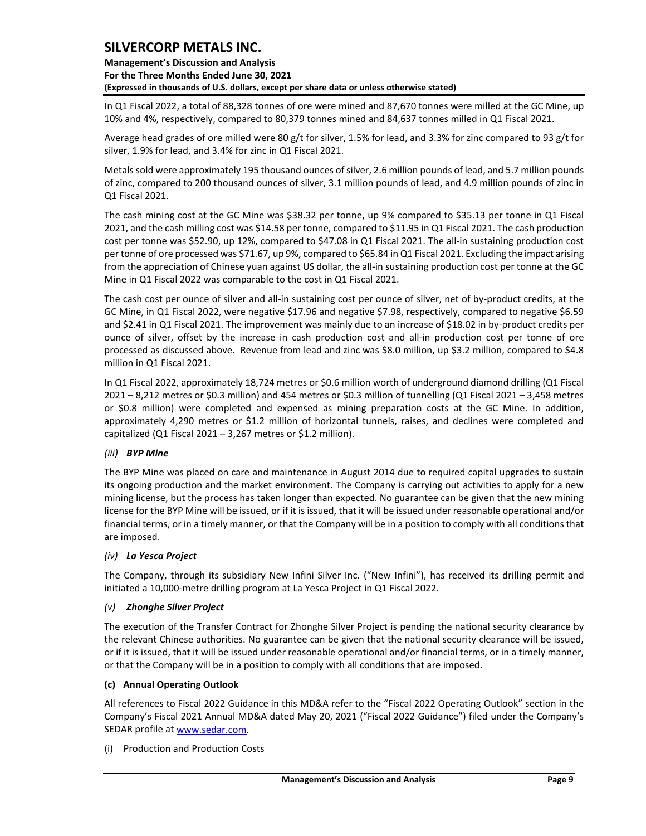**Management's Discussion and Analysis For the Three Months Ended June 30, 2021 (Expressed in thousands of U.S. dollars, except per share data or unless otherwise stated)** 

In Q1 Fiscal 2022, a total of 88,328 tonnes of ore were mined and 87,670 tonnes were milled at the GC Mine, up 10% and 4%, respectively, compared to 80,379 tonnes mined and 84,637 tonnes milled in Q1 Fiscal 2021.

Average head grades of ore milled were 80 g/t for silver, 1.5% for lead, and 3.3% for zinc compared to 93 g/t for silver, 1.9% for lead, and 3.4% for zinc in Q1 Fiscal 2021.

Metals sold were approximately 195 thousand ounces of silver, 2.6 million pounds of lead, and 5.7 million pounds of zinc, compared to 200 thousand ounces of silver, 3.1 million pounds of lead, and 4.9 million pounds of zinc in Q1 Fiscal 2021.

The cash mining cost at the GC Mine was \$38.32 per tonne, up 9% compared to \$35.13 per tonne in Q1 Fiscal 2021, and the cash milling cost was \$14.58 per tonne, compared to \$11.95 in Q1 Fiscal 2021. The cash production cost per tonne was \$52.90, up 12%, compared to \$47.08 in Q1 Fiscal 2021. The all-in sustaining production cost per tonne of ore processed was \$71.67, up 9%, compared to \$65.84 in Q1 Fiscal 2021. Excluding the impact arising from the appreciation of Chinese yuan against US dollar, the all-in sustaining production cost per tonne at the GC Mine in Q1 Fiscal 2022 was comparable to the cost in Q1 Fiscal 2021.

The cash cost per ounce of silver and all-in sustaining cost per ounce of silver, net of by-product credits, at the GC Mine, in Q1 Fiscal 2022, were negative \$17.96 and negative \$7.98, respectively, compared to negative \$6.59 and \$2.41 in Q1 Fiscal 2021. The improvement was mainly due to an increase of \$18.02 in by-product credits per ounce of silver, offset by the increase in cash production cost and all-in production cost per tonne of ore processed as discussed above. Revenue from lead and zinc was \$8.0 million, up \$3.2 million, compared to \$4.8 million in Q1 Fiscal 2021.

In Q1 Fiscal 2022, approximately 18,724 metres or \$0.6 million worth of underground diamond drilling (Q1 Fiscal 2021 – 8,212 metres or \$0.3 million) and 454 metres or \$0.3 million of tunnelling (Q1 Fiscal 2021 – 3,458 metres or \$0.8 million) were completed and expensed as mining preparation costs at the GC Mine. In addition, approximately 4,290 metres or \$1.2 million of horizontal tunnels, raises, and declines were completed and capitalized (Q1 Fiscal 2021 – 3,267 metres or \$1.2 million).

### *(iii) BYP Mine*

The BYP Mine was placed on care and maintenance in August 2014 due to required capital upgrades to sustain its ongoing production and the market environment. The Company is carrying out activities to apply for a new mining license, but the process has taken longer than expected. No guarantee can be given that the new mining license for the BYP Mine will be issued, or if it is issued, that it will be issued under reasonable operational and/or financial terms, or in a timely manner, or that the Company will be in a position to comply with all conditions that are imposed.

### *(iv) La Yesca Project*

The Company, through its subsidiary New Infini Silver Inc. ("New Infini"), has received its drilling permit and initiated a 10,000-metre drilling program at La Yesca Project in Q1 Fiscal 2022.

### *(v) Zhonghe Silver Project*

The execution of the Transfer Contract for Zhonghe Silver Project is pending the national security clearance by the relevant Chinese authorities. No guarantee can be given that the national security clearance will be issued, or if it is issued, that it will be issued under reasonable operational and/or financial terms, or in a timely manner, or that the Company will be in a position to comply with all conditions that are imposed.

### **(c) Annual Operating Outlook**

All references to Fiscal 2022 Guidance in this MD&A refer to the "Fiscal 2022 Operating Outlook" section in the Company's Fiscal 2021 Annual MD&A dated May 20, 2021 ("Fiscal 2022 Guidance") filed under the Company's SEDAR profile a[t www.sedar.com.](http://www.sedar.com/)

(i) Production and Production Costs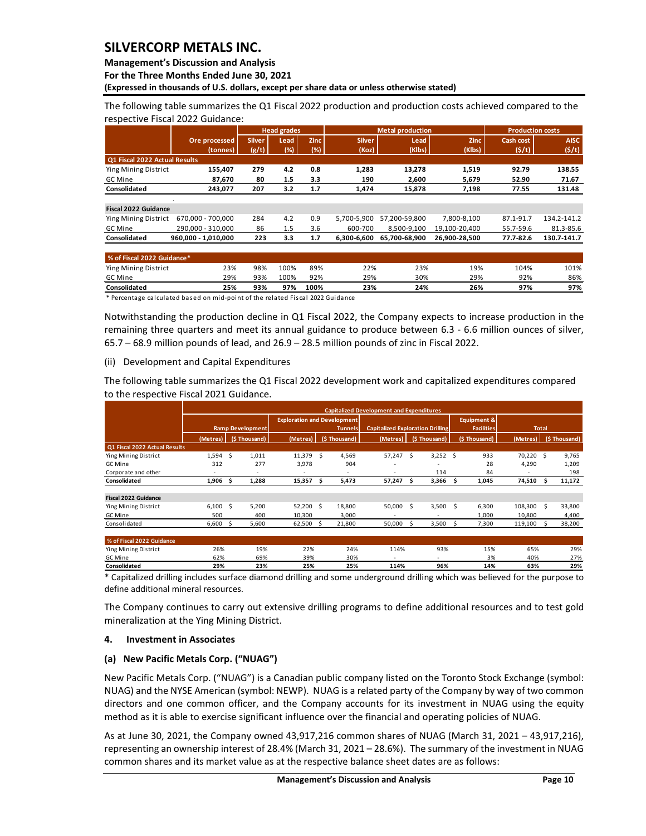**Management's Discussion and Analysis** 

**For the Three Months Ended June 30, 2021**

**(Expressed in thousands of U.S. dollars, except per share data or unless otherwise stated)** 

The following table summarizes the Q1 Fiscal 2022 production and production costs achieved compared to the respective Fiscal 2022 Guidance:

|                               |                     |               | <b>Head grades</b> |             |               | <b>Metal production</b> |               | <b>Production costs</b> |             |
|-------------------------------|---------------------|---------------|--------------------|-------------|---------------|-------------------------|---------------|-------------------------|-------------|
|                               | Ore processed       | <b>Silver</b> | Lead               | <b>Zinc</b> | <b>Silver</b> | Lead                    | <b>Zinc</b>   | Cash cost               | <b>AISC</b> |
|                               | (tonnes)            | (g/t)         | (%)                | $(\%)$      | (Koz)         | (Klbs)                  | (Klbs)        | (5/t)                   | (5/t)       |
| Q1 Fiscal 2022 Actual Results |                     |               |                    |             |               |                         |               |                         |             |
| Ying Mining District          | 155,407             | 279           | 4.2                | 0.8         | 1,283         | 13,278                  | 1,519         | 92.79                   | 138.55      |
| GC Mine                       | 87,670              | 80            | 1.5                | 3.3         | 190           | 2,600                   | 5,679         | 52.90                   | 71.67       |
| Consolidated                  | 243,077             | 207           | 3.2                | 1.7         | 1,474         | 15,878                  | 7,198         | 77.55                   | 131.48      |
|                               |                     |               |                    |             |               |                         |               |                         |             |
| <b>Fiscal 2022 Guidance</b>   |                     |               |                    |             |               |                         |               |                         |             |
| Ying Mining District          | 670.000 - 700.000   | 284           | 4.2                | 0.9         | 5.700-5.900   | 57.200-59.800           | 7.800-8.100   | 87.1-91.7               | 134.2-141.2 |
| GC Mine                       | 290.000 - 310.000   | 86            | 1.5                | 3.6         | 600-700       | 8,500-9,100             | 19,100-20,400 | 55.7-59.6               | 81.3-85.6   |
| Consolidated                  | 960.000 - 1.010.000 | 223           | 3.3                | 1.7         | 6.300-6.600   | 65.700-68.900           | 26.900-28.500 | 77.7-82.6               | 130.7-141.7 |
|                               |                     |               |                    |             |               |                         |               |                         |             |
| % of Fiscal 2022 Guidance*    |                     |               |                    |             |               |                         |               |                         |             |
| Ying Mining District          | 23%                 | 98%           | 100%               | 89%         | 22%           | 23%                     | 19%           | 104%                    | 101%        |
| GC Mine                       | 29%                 | 93%           | 100%               | 92%         | 29%           | 30%                     | 29%           | 92%                     | 86%         |
| Consolidated                  | 25%                 | 93%           | 97%                | 100%        | 23%           | 24%                     | 26%           | 97%                     | 97%         |

\* Percentage calculated based on mid-point of the related Fiscal 2022 Guidance

Notwithstanding the production decline in Q1 Fiscal 2022, the Company expects to increase production in the remaining three quarters and meet its annual guidance to produce between 6.3 - 6.6 million ounces of silver, 65.7 – 68.9 million pounds of lead, and 26.9 – 28.5 million pounds of zinc in Fiscal 2022.

#### (ii) Development and Capital Expenditures

The following table summarizes the Q1 Fiscal 2022 development work and capitalized expenditures compared to the respective Fiscal 2021 Guidance.

|                               |                          |                         |                          |                                    | <b>Capitalized Development and Expenditures</b> |                                         |                        |                          |               |  |
|-------------------------------|--------------------------|-------------------------|--------------------------|------------------------------------|-------------------------------------------------|-----------------------------------------|------------------------|--------------------------|---------------|--|
|                               |                          |                         |                          | <b>Exploration and Development</b> |                                                 |                                         | <b>Equipment &amp;</b> |                          |               |  |
|                               |                          | <b>Ramp Development</b> |                          | <b>Tunnels</b>                     |                                                 | <b>Capitalized Exploration Drilling</b> | <b>Facilities</b>      | <b>Total</b>             |               |  |
|                               | (Metres)                 | (\$Thousand)            | (Metres),                | (\$Thousand)                       | (Metres)                                        | (\$Thousand)                            | (\$Thousand)           | (Metres)                 | (\$Thousand)  |  |
| Q1 Fiscal 2022 Actual Results |                          |                         |                          |                                    |                                                 |                                         |                        |                          |               |  |
| Ying Mining District          | 1.594S                   | 1,011                   | 11,379                   | 4,569<br>- S                       | 57,247                                          | - S<br>$3,252$ \$                       | 933                    | 70,220 \$                | 9,765         |  |
| GC Mine                       | 312                      | 277                     | 3,978                    | 904                                |                                                 | $\overline{\phantom{a}}$                | 28                     | 4,290                    | 1,209         |  |
| Corporate and other           | $\overline{\phantom{a}}$ | ٠                       | $\overline{\phantom{a}}$ | $\overline{\phantom{a}}$           | $\overline{\phantom{a}}$                        | 114                                     | 84                     | $\overline{\phantom{a}}$ | 198           |  |
| Consolidated                  | 1,906                    | 1,288<br>-S             | 15,357                   | 5,473<br>-S                        | 57,247                                          | 3,366<br>s                              | 1,045<br>S             | 74,510                   | 11,172<br>-S  |  |
|                               |                          |                         |                          |                                    |                                                 |                                         |                        |                          |               |  |
| <b>Fiscal 2022 Guidance</b>   |                          |                         |                          |                                    |                                                 |                                         |                        |                          |               |  |
| Ying Mining District          | $6,100$ \$               | 5,200                   | $52,200$ \$              | 18,800                             | 50,000                                          | - \$<br>3,500                           | 6,300<br>-Ś            | 108,300                  | 33,800<br>- S |  |
| GC Mine                       | 500                      | 400                     | 10,300                   | 3,000                              |                                                 |                                         | 1,000                  | 10,800                   | 4,400         |  |
| Consolidated                  | 6,600                    | 5,600<br>-S             | $62,500$ \$              | 21,800                             | 50,000                                          | 3,500<br>ς                              | 7,300<br><sub>S</sub>  | 119,100                  | 38,200<br>S.  |  |
|                               |                          |                         |                          |                                    |                                                 |                                         |                        |                          |               |  |
| % of Fiscal 2022 Guidance     |                          |                         |                          |                                    |                                                 |                                         |                        |                          |               |  |
| Ying Mining District          | 26%                      | 19%                     | 22%                      | 24%                                | 114%                                            | 93%                                     | 15%                    | 65%                      | 29%           |  |
| GC Mine                       | 62%                      | 69%                     | 39%                      | 30%                                | $\overline{\phantom{a}}$                        | $\overline{\phantom{a}}$                | 3%                     | 40%                      | 27%           |  |

\* Capitalized drilling includes surface diamond drilling and some underground drilling which was believed for the purpose to define additional mineral resources. **Consolidated 29% 23% 25% 25% 114% 96% 14% 63% 29%**

The Company continues to carry out extensive drilling programs to define additional resources and to test gold mineralization at the Ying Mining District.

### <span id="page-10-0"></span>**4. Investment in Associates**

### **(a) New Pacific Metals Corp. ("NUAG")**

New Pacific Metals Corp. ("NUAG") is a Canadian public company listed on the Toronto Stock Exchange (symbol: NUAG) and the NYSE American (symbol: NEWP). NUAG is a related party of the Company by way of two common directors and one common officer, and the Company accounts for its investment in NUAG using the equity method as it is able to exercise significant influence over the financial and operating policies of NUAG.

As at June 30, 2021, the Company owned 43,917,216 common shares of NUAG (March 31, 2021 – 43,917,216), representing an ownership interest of 28.4% (March 31, 2021 – 28.6%). The summary of the investment in NUAG common shares and its market value as at the respective balance sheet dates are as follows: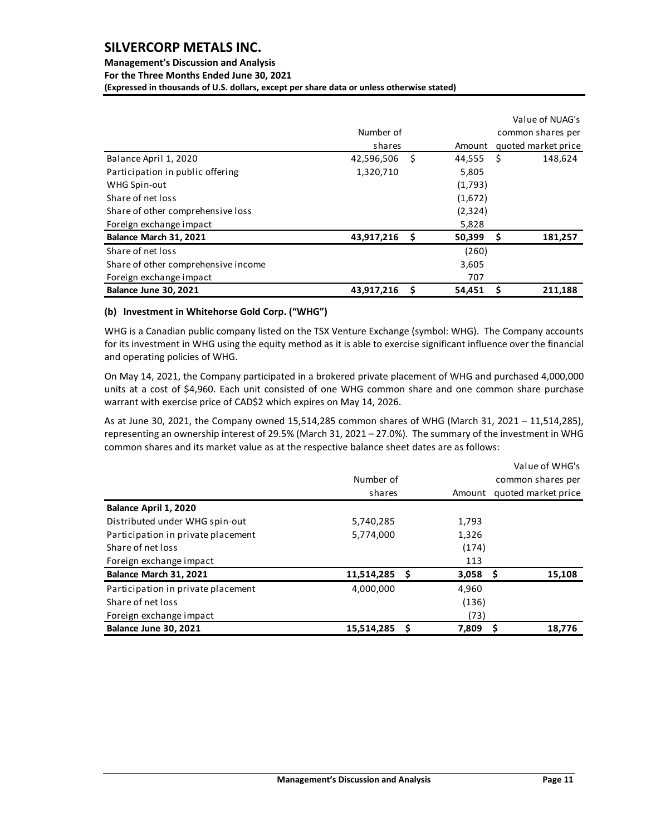# **Management's Discussion and Analysis**

**For the Three Months Ended June 30, 2021**

**(Expressed in thousands of U.S. dollars, except per share data or unless otherwise stated)** 

|                                     |            |      |         |    | Value of NUAG's     |
|-------------------------------------|------------|------|---------|----|---------------------|
|                                     | Number of  |      |         |    | common shares per   |
|                                     | shares     |      | Amount  |    | quoted market price |
| Balance April 1, 2020               | 42,596,506 | - \$ | 44,555  | -Ś | 148,624             |
| Participation in public offering    | 1,320,710  |      | 5,805   |    |                     |
| WHG Spin-out                        |            |      | (1,793) |    |                     |
| Share of net loss                   |            |      | (1,672) |    |                     |
| Share of other comprehensive loss   |            |      | (2,324) |    |                     |
| Foreign exchange impact             |            |      | 5,828   |    |                     |
| Balance March 31, 2021              | 43,917,216 | - \$ | 50,399  | \$ | 181,257             |
| Share of net loss                   |            |      | (260)   |    |                     |
| Share of other comprehensive income |            |      | 3,605   |    |                     |
| Foreign exchange impact             |            |      | 707     |    |                     |
| <b>Balance June 30, 2021</b>        | 43,917,216 | \$   | 54,451  | S  | 211,188             |

### **(b) Investment in Whitehorse Gold Corp. ("WHG")**

WHG is a Canadian public company listed on the TSX Venture Exchange (symbol: WHG). The Company accounts for its investment in WHG using the equity method as it is able to exercise significant influence over the financial and operating policies of WHG.

On May 14, 2021, the Company participated in a brokered private placement of WHG and purchased 4,000,000 units at a cost of \$4,960. Each unit consisted of one WHG common share and one common share purchase warrant with exercise price of CAD\$2 which expires on May 14, 2026.

As at June 30, 2021, the Company owned 15,514,285 common shares of WHG (March 31, 2021 – 11,514,285), representing an ownership interest of 29.5% (March 31, 2021 – 27.0%). The summary of the investment in WHG common shares and its market value as at the respective balance sheet dates are as follows:

|                                    |            |   |                   | Value of WHG's      |  |  |  |  |
|------------------------------------|------------|---|-------------------|---------------------|--|--|--|--|
|                                    | Number of  |   | common shares per |                     |  |  |  |  |
|                                    | shares     |   | Amount            | quoted market price |  |  |  |  |
| Balance April 1, 2020              |            |   |                   |                     |  |  |  |  |
| Distributed under WHG spin-out     | 5,740,285  |   | 1,793             |                     |  |  |  |  |
| Participation in private placement | 5,774,000  |   | 1,326             |                     |  |  |  |  |
| Share of net loss                  |            |   | (174)             |                     |  |  |  |  |
| Foreign exchange impact            |            |   | 113               |                     |  |  |  |  |
| Balance March 31, 2021             | 11,514,285 | S | $3,058$ \$        | 15,108              |  |  |  |  |
| Participation in private placement | 4,000,000  |   | 4,960             |                     |  |  |  |  |
| Share of net loss                  |            |   | (136)             |                     |  |  |  |  |
| Foreign exchange impact            |            |   | (73)              |                     |  |  |  |  |
| <b>Balance June 30, 2021</b>       | 15,514,285 |   | 7,809             | 18,776              |  |  |  |  |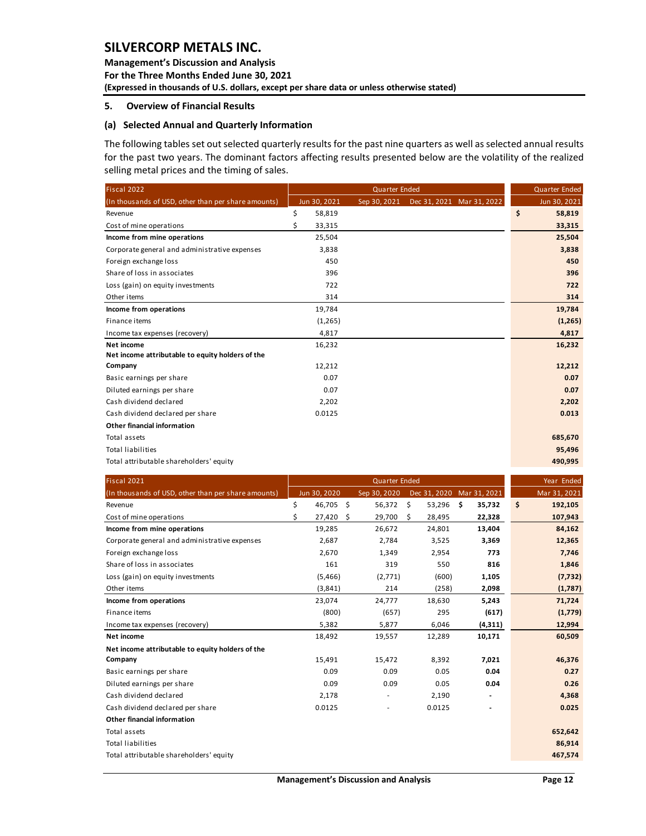**Management's Discussion and Analysis For the Three Months Ended June 30, 2021 (Expressed in thousands of U.S. dollars, except per share data or unless otherwise stated)** 

#### <span id="page-12-0"></span>**5. Overview of Financial Results**

### **(a) Selected Annual and Quarterly Information**

The following tables set out selected quarterly results for the past nine quarters as well as selected annual results for the past two years. The dominant factors affecting results presented below are the volatility of the realized selling metal prices and the timing of sales.

| Fiscal 2022                                         |              | <b>Quarter Ended</b> |  | <b>Quarter Ended</b>      |              |
|-----------------------------------------------------|--------------|----------------------|--|---------------------------|--------------|
| (In thousands of USD, other than per share amounts) | Jun 30, 2021 | Sep 30, 2021         |  | Dec 31, 2021 Mar 31, 2022 | Jun 30, 2021 |
| Revenue                                             | \$<br>58,819 |                      |  |                           | \$<br>58,819 |
| Cost of mine operations                             | Ś<br>33,315  |                      |  |                           | 33,315       |
| Income from mine operations                         | 25,504       |                      |  |                           | 25,504       |
| Corporate general and administrative expenses       | 3,838        |                      |  |                           | 3,838        |
| Foreign exchange loss                               | 450          |                      |  |                           | 450          |
| Share of loss in associates                         | 396          |                      |  |                           | 396          |
| Loss (gain) on equity investments                   | 722          |                      |  |                           | 722          |
| Other items                                         | 314          |                      |  |                           | 314          |
| Income from operations                              | 19,784       |                      |  |                           | 19,784       |
| Finance items                                       | (1,265)      |                      |  |                           | (1, 265)     |
| Income tax expenses (recovery)                      | 4,817        |                      |  |                           | 4,817        |
| Net income                                          | 16,232       |                      |  |                           | 16,232       |
| Net income attributable to equity holders of the    |              |                      |  |                           |              |
| Company                                             | 12,212       |                      |  |                           | 12,212       |
| Basic earnings per share                            | 0.07         |                      |  |                           | 0.07         |
| Diluted earnings per share                          | 0.07         |                      |  |                           | 0.07         |
| Cash dividend declared                              | 2,202        |                      |  |                           | 2,202        |
| Cash dividend declared per share                    | 0.0125       |                      |  |                           | 0.013        |
| Other financial information                         |              |                      |  |                           |              |
| Total assets                                        |              |                      |  |                           | 685,670      |
| <b>Total liabilities</b>                            |              |                      |  |                           | 95,496       |
| Total attributable shareholders' equity             |              |                      |  |                           | 490,995      |

| Fiscal 2021                                         |                 | <b>Quarter Ended</b> |    | Year Ended   |              |                          |               |
|-----------------------------------------------------|-----------------|----------------------|----|--------------|--------------|--------------------------|---------------|
| (In thousands of USD, other than per share amounts) | Jun 30, 2020    | Sep 30, 2020         |    | Dec 31, 2020 | Mar 31, 2021 |                          | Mar 31, 2021  |
| Revenue                                             | \$<br>46,705 \$ | 56,372               | \$ | 53,296       | -\$          | 35,732                   | \$<br>192,105 |
| Cost of mine operations                             | \$<br>27,420    | \$<br>29,700         | Ŝ. | 28,495       |              | 22,328                   | 107,943       |
| Income from mine operations                         | 19,285          | 26,672               |    | 24,801       |              | 13,404                   | 84,162        |
| Corporate general and administrative expenses       | 2,687           | 2,784                |    | 3,525        |              | 3,369                    | 12,365        |
| Foreign exchange loss                               | 2,670           | 1,349                |    | 2,954        |              | 773                      | 7,746         |
| Share of loss in associates                         | 161             | 319                  |    | 550          |              | 816                      | 1,846         |
| Loss (gain) on equity investments                   | (5,466)         | (2,771)              |    | (600)        |              | 1,105                    | (7, 732)      |
| Other items                                         | (3,841)         | 214                  |    | (258)        |              | 2,098                    | (1,787)       |
| Income from operations                              | 23,074          | 24,777               |    | 18,630       |              | 5,243                    | 71,724        |
| Finance items                                       | (800)           | (657)                |    | 295          |              | (617)                    | (1,779)       |
| Income tax expenses (recovery)                      | 5,382           | 5,877                |    | 6,046        |              | (4, 311)                 | 12,994        |
| Net income                                          | 18,492          | 19,557               |    | 12,289       |              | 10,171                   | 60,509        |
| Net income attributable to equity holders of the    |                 |                      |    |              |              |                          |               |
| Company                                             | 15,491          | 15,472               |    | 8,392        |              | 7,021                    | 46,376        |
| Basic earnings per share                            | 0.09            | 0.09                 |    | 0.05         |              | 0.04                     | 0.27          |
| Diluted earnings per share                          | 0.09            | 0.09                 |    | 0.05         |              | 0.04                     | 0.26          |
| Cash dividend declared                              | 2,178           | ٠                    |    | 2,190        |              | $\overline{\phantom{a}}$ | 4,368         |
| Cash dividend declared per share                    | 0.0125          |                      |    | 0.0125       |              |                          | 0.025         |
| <b>Other financial information</b>                  |                 |                      |    |              |              |                          |               |
| Total assets                                        |                 |                      |    |              |              |                          | 652,642       |
| <b>Total liabilities</b>                            |                 |                      |    |              |              |                          | 86,914        |
| Total attributable shareholders' equity             |                 |                      |    |              |              |                          | 467,574       |
|                                                     |                 |                      |    |              |              |                          |               |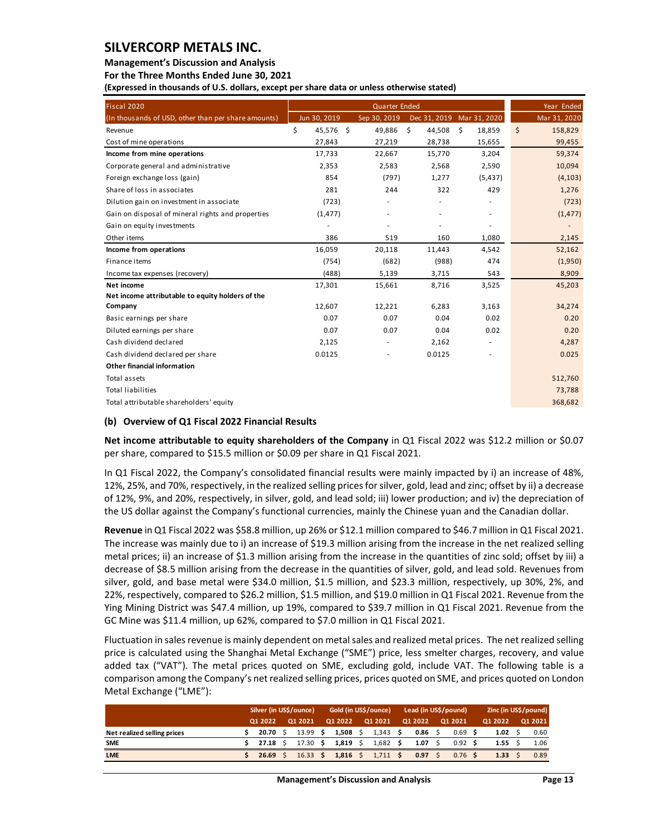**Management's Discussion and Analysis** 

**For the Three Months Ended June 30, 2021**

**(Expressed in thousands of U.S. dollars, except per share data or unless otherwise stated)** 

| Fiscal 2020                                         |              |           | <b>Quarter Ended</b>     |                          |                           | Year Ended    |
|-----------------------------------------------------|--------------|-----------|--------------------------|--------------------------|---------------------------|---------------|
| (In thousands of USD, other than per share amounts) | Jun 30, 2019 |           | Sep 30, 2019             |                          | Dec 31, 2019 Mar 31, 2020 | Mar 31, 2020  |
| Revenue                                             | \$           | 45,576 \$ | 49,886                   | \$<br>44,508             | \$<br>18,859              | \$<br>158,829 |
| Cost of mine operations                             | 27,843       |           | 27,219                   | 28,738                   | 15,655                    | 99,455        |
| Income from mine operations                         | 17,733       |           | 22,667                   | 15,770                   | 3,204                     | 59,374        |
| Corporate general and administrative                | 2,353        |           | 2,583                    | 2,568                    | 2,590                     | 10,094        |
| Foreign exchange loss (gain)                        |              | 854       | (797)                    | 1,277                    | (5, 437)                  | (4, 103)      |
| Share of loss in associates                         |              | 281       | 244                      | 322                      | 429                       | 1,276         |
| Dilution gain on investment in associate            |              | (723)     |                          |                          |                           | (723)         |
| Gain on disposal of mineral rights and properties   | (1, 477)     |           |                          | $\overline{\phantom{a}}$ | ٠                         | (1, 477)      |
| Gain on equity investments                          |              |           |                          |                          |                           |               |
| Other items                                         |              | 386       | 519                      | 160                      | 1,080                     | 2,145         |
| Income from operations                              | 16,059       |           | 20,118                   | 11,443                   | 4,542                     | 52,162        |
| Finance items                                       |              | (754)     | (682)                    | (988)                    | 474                       | (1,950)       |
| Income tax expenses (recovery)                      |              | (488)     | 5,139                    | 3,715                    | 543                       | 8,909         |
| Net income                                          | 17,301       |           | 15,661                   | 8,716                    | 3,525                     | 45,203        |
| Net income attributable to equity holders of the    |              |           |                          |                          |                           |               |
| Company                                             | 12,607       |           | 12,221                   | 6,283                    | 3,163                     | 34,274        |
| Basic earnings per share                            |              | 0.07      | 0.07                     | 0.04                     | 0.02                      | 0.20          |
| Diluted earnings per share                          |              | 0.07      | 0.07                     | 0.04                     | 0.02                      | 0.20          |
| Cash dividend declared                              | 2,125        |           | $\overline{\phantom{a}}$ | 2,162                    | $\overline{\phantom{a}}$  | 4,287         |
| Cash dividend declared per share                    | 0.0125       |           |                          | 0.0125                   |                           | 0.025         |
| <b>Other financial information</b>                  |              |           |                          |                          |                           |               |
| Total assets                                        |              |           |                          |                          |                           | 512,760       |
| <b>Total liabilities</b>                            |              |           |                          |                          |                           | 73,788        |
| Total attributable shareholders' equity             |              |           |                          |                          |                           | 368,682       |

### **(b) Overview of Q1 Fiscal 2022 Financial Results**

**Net income attributable to equity shareholders of the Company** in Q1 Fiscal 2022 was \$12.2 million or \$0.07 per share, compared to \$15.5 million or \$0.09 per share in Q1 Fiscal 2021.

In Q1 Fiscal 2022, the Company's consolidated financial results were mainly impacted by i) an increase of 48%, 12%, 25%, and 70%, respectively, in the realized selling prices for silver, gold, lead and zinc; offset by ii) a decrease of 12%, 9%, and 20%, respectively, in silver, gold, and lead sold; iii) lower production; and iv) the depreciation of the US dollar against the Company's functional currencies, mainly the Chinese yuan and the Canadian dollar.

**Revenue** in Q1 Fiscal 2022 was \$58.8 million, up 26% or \$12.1 million compared to \$46.7 million in Q1 Fiscal 2021. The increase was mainly due to i) an increase of \$19.3 million arising from the increase in the net realized selling metal prices; ii) an increase of \$1.3 million arising from the increase in the quantities of zinc sold; offset by iii) a decrease of \$8.5 million arising from the decrease in the quantities of silver, gold, and lead sold. Revenues from silver, gold, and base metal were \$34.0 million, \$1.5 million, and \$23.3 million, respectively, up 30%, 2%, and 22%, respectively, compared to \$26.2 million, \$1.5 million, and \$19.0 million in Q1 Fiscal 2021. Revenue from the Ying Mining District was \$47.4 million, up 19%, compared to \$39.7 million in Q1 Fiscal 2021. Revenue from the GC Mine was \$11.4 million, up 62%, compared to \$7.0 million in Q1 Fiscal 2021.

Fluctuation in sales revenue is mainly dependent on metal sales and realized metal prices. The net realized selling price is calculated using the Shanghai Metal Exchange ("SME") price, less smelter charges, recovery, and value added tax ("VAT"). The metal prices quoted on SME, excluding gold, include VAT. The following table is a comparison among the Company's net realized selling prices, prices quoted on SME, and prices quoted on London Metal Exchange ("LME"):

|                             |  | Silver (in US\$/ounce) |  |                 |                     | Gold (in US\$/ounce) | Lead (in US\$/pound) |         |      |         |                 | Zinc (in US\$/pound) |      |         |      |
|-----------------------------|--|------------------------|--|-----------------|---------------------|----------------------|----------------------|---------|------|---------|-----------------|----------------------|------|---------|------|
| 01 2022                     |  | 01 2021                |  | Q1 2022         |                     | Q1 2021              |                      | 01 2022 |      | Q1 2021 |                 | 01 2022              |      | Q1 2021 |      |
| Net realized selling prices |  | 20.70 S                |  | 13.99 \$        | 1,508 \$            |                      | $1,343$ \$           |         | 0.86 |         | $0.69$ \$       |                      | 1.02 |         | 0.60 |
| <b>SME</b>                  |  | 27.18                  |  | $17.30 \quad $$ | 1,819 \$            |                      | $1,682$ \$           |         | 1.07 |         | $0.92 \quad$ \$ |                      | 1.55 |         | 1.06 |
| <b>LME</b>                  |  | 26.69 S                |  |                 | $16.33$ \$ 1.816 \$ |                      | $1,711$ \$           |         | 0.97 |         | $0.76$ \$       |                      | 1.33 |         | 0.89 |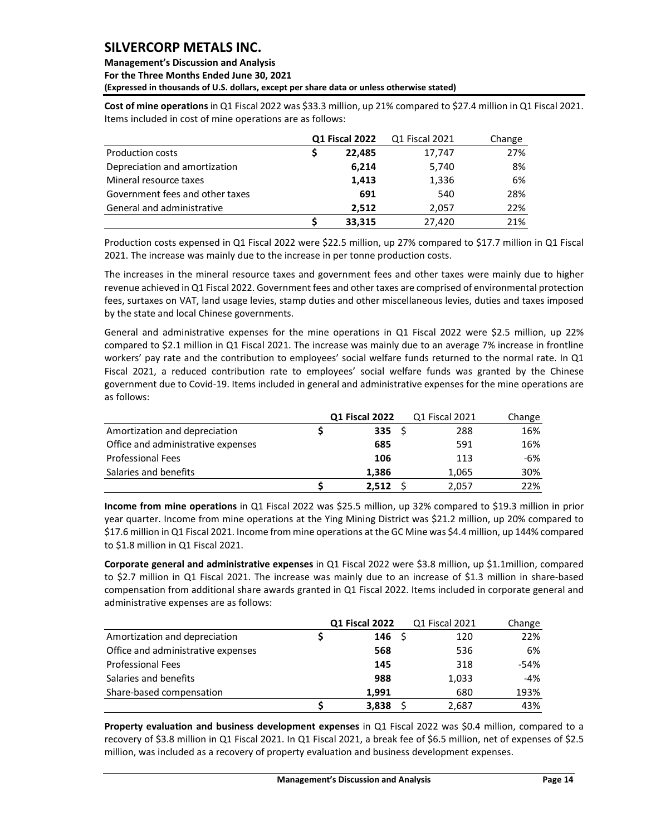## **Management's Discussion and Analysis**

**For the Three Months Ended June 30, 2021**

**(Expressed in thousands of U.S. dollars, except per share data or unless otherwise stated)** 

**Cost of mine operations** in Q1 Fiscal 2022 was \$33.3 million, up 21% compared to \$27.4 million in Q1 Fiscal 2021. Items included in cost of mine operations are as follows:

|                                 | Q1 Fiscal 2022 |        | Q1 Fiscal 2021 | Change |
|---------------------------------|----------------|--------|----------------|--------|
| <b>Production costs</b>         |                | 22,485 | 17,747         | 27%    |
| Depreciation and amortization   |                | 6,214  | 5,740          | 8%     |
| Mineral resource taxes          |                | 1,413  | 1,336          | 6%     |
| Government fees and other taxes |                | 691    | 540            | 28%    |
| General and administrative      |                | 2.512  | 2.057          | 22%    |
|                                 |                | 33,315 | 27,420         | 21%    |

Production costs expensed in Q1 Fiscal 2022 were \$22.5 million, up 27% compared to \$17.7 million in Q1 Fiscal 2021. The increase was mainly due to the increase in per tonne production costs.

The increases in the mineral resource taxes and government fees and other taxes were mainly due to higher revenue achieved in Q1 Fiscal 2022. Government fees and other taxes are comprised of environmental protection fees, surtaxes on VAT, land usage levies, stamp duties and other miscellaneous levies, duties and taxes imposed by the state and local Chinese governments.

General and administrative expenses for the mine operations in Q1 Fiscal 2022 were \$2.5 million, up 22% compared to \$2.1 million in Q1 Fiscal 2021. The increase was mainly due to an average 7% increase in frontline workers' pay rate and the contribution to employees' social welfare funds returned to the normal rate. In Q1 Fiscal 2021, a reduced contribution rate to employees' social welfare funds was granted by the Chinese government due to Covid-19. Items included in general and administrative expenses for the mine operations are as follows:

|                                    | Q1 Fiscal 2022   | Q1 Fiscal 2021 | Change |
|------------------------------------|------------------|----------------|--------|
| Amortization and depreciation      | 335 <sub>5</sub> | 288            | 16%    |
| Office and administrative expenses | 685              | 591            | 16%    |
| <b>Professional Fees</b>           | 106              | 113            | -6%    |
| Salaries and benefits              | 1.386            | 1.065          | 30%    |
|                                    | 2.512            | 2,057          | 22%    |

**Income from mine operations** in Q1 Fiscal 2022 was \$25.5 million, up 32% compared to \$19.3 million in prior year quarter. Income from mine operations at the Ying Mining District was \$21.2 million, up 20% compared to \$17.6 million in Q1 Fiscal 2021. Income from mine operations at the GC Mine was \$4.4 million, up 144% compared to \$1.8 million in Q1 Fiscal 2021.

**Corporate general and administrative expenses** in Q1 Fiscal 2022 were \$3.8 million, up \$1.1million, compared to \$2.7 million in Q1 Fiscal 2021. The increase was mainly due to an increase of \$1.3 million in share-based compensation from additional share awards granted in Q1 Fiscal 2022. Items included in corporate general and administrative expenses are as follows:

|                                    | Q1 Fiscal 2022    | Q1 Fiscal 2021 | Change |
|------------------------------------|-------------------|----------------|--------|
| Amortization and depreciation      | 146 $\frac{1}{2}$ | 120            | 22%    |
| Office and administrative expenses | 568               | 536            | 6%     |
| <b>Professional Fees</b>           | 145               | 318            | -54%   |
| Salaries and benefits              | 988               | 1,033          | $-4%$  |
| Share-based compensation           | 1.991             | 680            | 193%   |
|                                    | 3,838             | 2,687          | 43%    |

**Property evaluation and business development expenses** in Q1 Fiscal 2022 was \$0.4 million, compared to a recovery of \$3.8 million in Q1 Fiscal 2021. In Q1 Fiscal 2021, a break fee of \$6.5 million, net of expenses of \$2.5 million, was included as a recovery of property evaluation and business development expenses.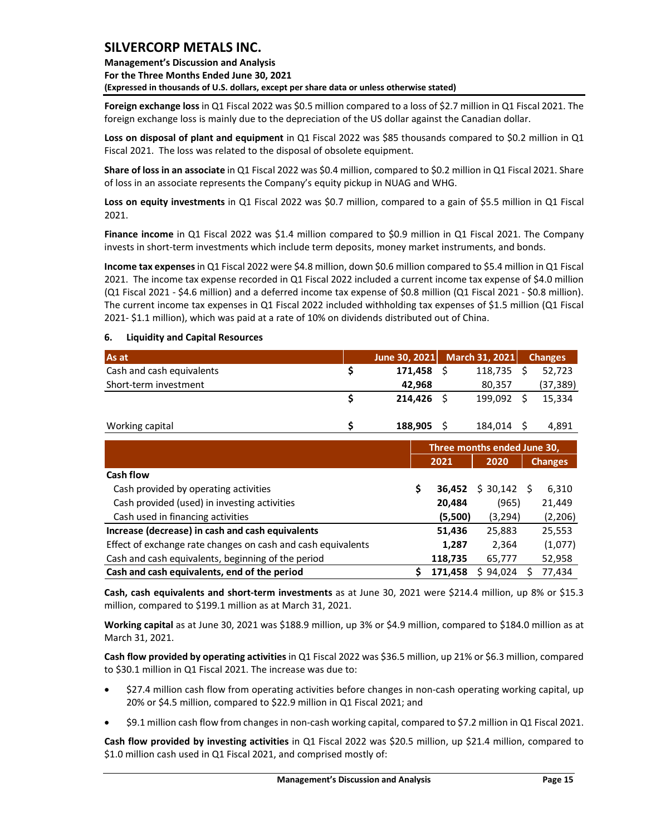**Management's Discussion and Analysis For the Three Months Ended June 30, 2021 (Expressed in thousands of U.S. dollars, except per share data or unless otherwise stated)** 

**Foreign exchange loss** in Q1 Fiscal 2022 was \$0.5 million compared to a loss of \$2.7 million in Q1 Fiscal 2021. The foreign exchange loss is mainly due to the depreciation of the US dollar against the Canadian dollar.

**Loss on disposal of plant and equipment** in Q1 Fiscal 2022 was \$85 thousands compared to \$0.2 million in Q1 Fiscal 2021. The loss was related to the disposal of obsolete equipment.

**Share of loss in an associate** in Q1 Fiscal 2022 was \$0.4 million, compared to \$0.2 million in Q1 Fiscal 2021. Share of loss in an associate represents the Company's equity pickup in NUAG and WHG.

**Loss on equity investments** in Q1 Fiscal 2022 was \$0.7 million, compared to a gain of \$5.5 million in Q1 Fiscal 2021.

**Finance income** in Q1 Fiscal 2022 was \$1.4 million compared to \$0.9 million in Q1 Fiscal 2021. The Company invests in short-term investments which include term deposits, money market instruments, and bonds.

**Income tax expenses** in Q1 Fiscal 2022 were \$4.8 million, down \$0.6 million compared to \$5.4 million in Q1 Fiscal 2021. The income tax expense recorded in Q1 Fiscal 2022 included a current income tax expense of \$4.0 million (Q1 Fiscal 2021 - \$4.6 million) and a deferred income tax expense of \$0.8 million (Q1 Fiscal 2021 - \$0.8 million). The current income tax expenses in Q1 Fiscal 2022 included withholding tax expenses of \$1.5 million (Q1 Fiscal 2021- \$1.1 million), which was paid at a rate of 10% on dividends distributed out of China.

### <span id="page-15-0"></span>**6. Liquidity and Capital Resources**

| As at                     | June 30, 2021 | March 31, 2021 | <b>Changes</b> |  |
|---------------------------|---------------|----------------|----------------|--|
| Cash and cash equivalents | 171.458       | $118,735$ \$   | 52.723         |  |
| Short-term investment     | 42.968        | 80,357         | (37, 389)      |  |
|                           | 214.426       | 199.092        | 15.334         |  |
| Working capital           | 188,905       | 184,014        | 4.891          |  |

|                                                              |   | Three months ended June 30, |          |                |  |  |  |  |
|--------------------------------------------------------------|---|-----------------------------|----------|----------------|--|--|--|--|
|                                                              |   | 2021                        | 2020     | <b>Changes</b> |  |  |  |  |
| Cash flow                                                    |   |                             |          |                |  |  |  |  |
| Cash provided by operating activities                        | S | 36,452                      | \$30,142 | 6,310<br>-S    |  |  |  |  |
| Cash provided (used) in investing activities                 |   | 20,484                      | (965)    | 21,449         |  |  |  |  |
| Cash used in financing activities                            |   | (5,500)                     | (3, 294) | (2, 206)       |  |  |  |  |
| Increase (decrease) in cash and cash equivalents             |   | 51,436                      | 25,883   | 25,553         |  |  |  |  |
| Effect of exchange rate changes on cash and cash equivalents |   | 1,287                       | 2,364    | (1,077)        |  |  |  |  |
| Cash and cash equivalents, beginning of the period           |   | 118,735                     | 65,777   | 52,958         |  |  |  |  |
| Cash and cash equivalents, end of the period                 |   | 171.458                     | \$94,024 | 77,434         |  |  |  |  |

**Cash, cash equivalents and short-term investments** as at June 30, 2021 were \$214.4 million, up 8% or \$15.3 million, compared to \$199.1 million as at March 31, 2021.

**Working capital** as at June 30, 2021 was \$188.9 million, up 3% or \$4.9 million, compared to \$184.0 million as at March 31, 2021.

**Cash flow provided by operating activities** in Q1 Fiscal 2022 was \$36.5 million, up 21% or \$6.3 million, compared to \$30.1 million in Q1 Fiscal 2021. The increase was due to:

- \$27.4 million cash flow from operating activities before changes in non-cash operating working capital, up 20% or \$4.5 million, compared to \$22.9 million in Q1 Fiscal 2021; and
- \$9.1 million cash flow from changes in non-cash working capital, compared to \$7.2 million in Q1 Fiscal 2021.

**Cash flow provided by investing activities** in Q1 Fiscal 2022 was \$20.5 million, up \$21.4 million, compared to \$1.0 million cash used in Q1 Fiscal 2021, and comprised mostly of: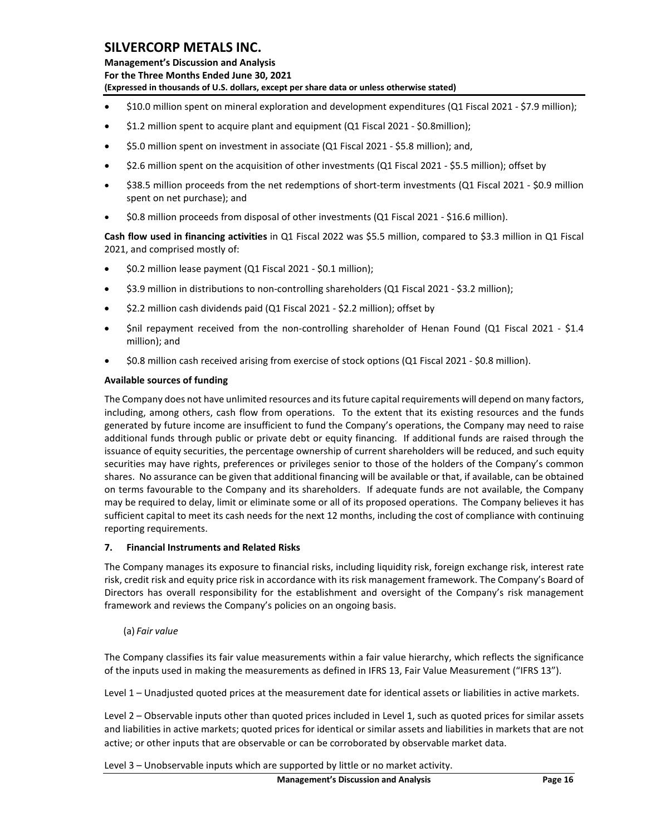**Management's Discussion and Analysis For the Three Months Ended June 30, 2021 (Expressed in thousands of U.S. dollars, except per share data or unless otherwise stated)** 

- \$10.0 million spent on mineral exploration and development expenditures (Q1 Fiscal 2021 \$7.9 million);
- \$1.2 million spent to acquire plant and equipment (Q1 Fiscal 2021 \$0.8million);
- \$5.0 million spent on investment in associate (Q1 Fiscal 2021 \$5.8 million); and,
- \$2.6 million spent on the acquisition of other investments (Q1 Fiscal 2021 \$5.5 million); offset by
- \$38.5 million proceeds from the net redemptions of short-term investments (Q1 Fiscal 2021 \$0.9 million spent on net purchase); and
- \$0.8 million proceeds from disposal of other investments (Q1 Fiscal 2021 \$16.6 million).

**Cash flow used in financing activities** in Q1 Fiscal 2022 was \$5.5 million, compared to \$3.3 million in Q1 Fiscal 2021, and comprised mostly of:

- \$0.2 million lease payment (Q1 Fiscal 2021 \$0.1 million);
- \$3.9 million in distributions to non-controlling shareholders (Q1 Fiscal 2021 \$3.2 million);
- \$2.2 million cash dividends paid (Q1 Fiscal 2021 \$2.2 million); offset by
- Snil repayment received from the non-controlling shareholder of Henan Found (Q1 Fiscal 2021 \$1.4 million); and
- \$0.8 million cash received arising from exercise of stock options (Q1 Fiscal 2021 \$0.8 million).

### **Available sources of funding**

The Company does not have unlimited resources and its future capital requirements will depend on many factors, including, among others, cash flow from operations. To the extent that its existing resources and the funds generated by future income are insufficient to fund the Company's operations, the Company may need to raise additional funds through public or private debt or equity financing. If additional funds are raised through the issuance of equity securities, the percentage ownership of current shareholders will be reduced, and such equity securities may have rights, preferences or privileges senior to those of the holders of the Company's common shares. No assurance can be given that additional financing will be available or that, if available, can be obtained on terms favourable to the Company and its shareholders. If adequate funds are not available, the Company may be required to delay, limit or eliminate some or all of its proposed operations. The Company believes it has sufficient capital to meet its cash needs for the next 12 months, including the cost of compliance with continuing reporting requirements.

### <span id="page-16-0"></span>**7. Financial Instruments and Related Risks**

The Company manages its exposure to financial risks, including liquidity risk, foreign exchange risk, interest rate risk, credit risk and equity price risk in accordance with its risk management framework. The Company's Board of Directors has overall responsibility for the establishment and oversight of the Company's risk management framework and reviews the Company's policies on an ongoing basis.

(a) *Fair value*

The Company classifies its fair value measurements within a fair value hierarchy, which reflects the significance of the inputs used in making the measurements as defined in IFRS 13, Fair Value Measurement ("IFRS 13").

Level 1 – Unadjusted quoted prices at the measurement date for identical assets or liabilities in active markets.

Level 2 – Observable inputs other than quoted prices included in Level 1, such as quoted prices for similar assets and liabilities in active markets; quoted prices for identical or similar assets and liabilities in markets that are not active; or other inputs that are observable or can be corroborated by observable market data.

Level 3 – Unobservable inputs which are supported by little or no market activity.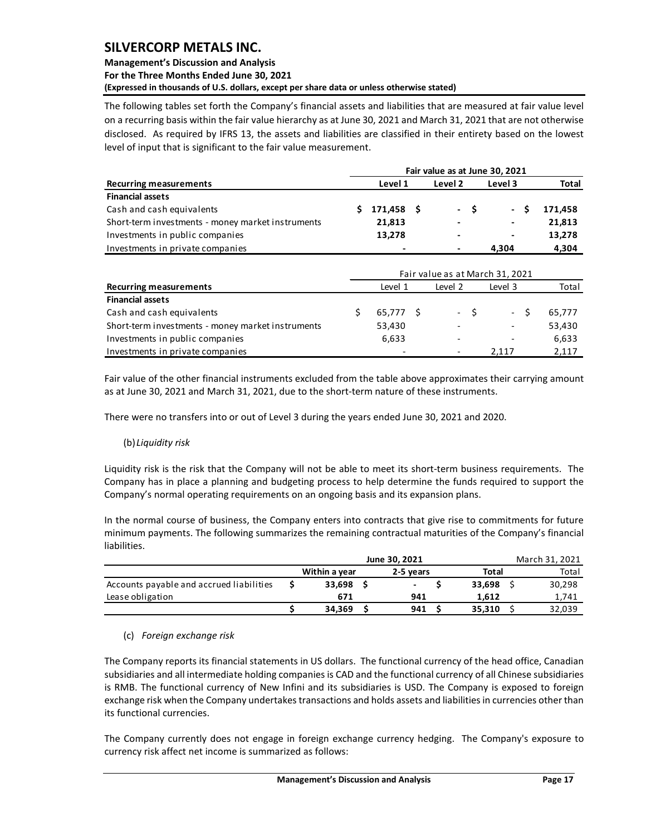## **Management's Discussion and Analysis For the Three Months Ended June 30, 2021 (Expressed in thousands of U.S. dollars, except per share data or unless otherwise stated)**

The following tables set forth the Company's financial assets and liabilities that are measured at fair value level on a recurring basis within the fair value hierarchy as at June 30, 2021 and March 31, 2021 that are not otherwise disclosed. As required by IFRS 13, the assets and liabilities are classified in their entirety based on the lowest level of input that is significant to the fair value measurement.

| Level 1    | Level <sub>2</sub>           | Level 3                  | <b>Total</b>                   |  |  |  |  |  |  |  |  |  |  |
|------------|------------------------------|--------------------------|--------------------------------|--|--|--|--|--|--|--|--|--|--|
|            |                              |                          |                                |  |  |  |  |  |  |  |  |  |  |
| 171,458 \$ | - S                          | $\sim 100$<br>s          | 171.458                        |  |  |  |  |  |  |  |  |  |  |
| 21,813     |                              | $\blacksquare$           | 21,813                         |  |  |  |  |  |  |  |  |  |  |
| 13,278     | $\qquad \qquad \blacksquare$ | $\overline{\phantom{0}}$ | 13,278                         |  |  |  |  |  |  |  |  |  |  |
|            |                              | 4,304                    | 4,304                          |  |  |  |  |  |  |  |  |  |  |
|            |                              |                          |                                |  |  |  |  |  |  |  |  |  |  |
|            |                              |                          | Fair value as at June 30, 2021 |  |  |  |  |  |  |  |  |  |  |

| <b>Recurring measurements</b>                     |  | Total       |                          |                          |        |
|---------------------------------------------------|--|-------------|--------------------------|--------------------------|--------|
| <b>Financial assets</b>                           |  |             |                          |                          |        |
| Cash and cash equivalents                         |  | $65,777$ \$ | $-S$                     | $- S$                    | 65,777 |
| Short-term investments - money market instruments |  | 53,430      | $\overline{\phantom{a}}$ | $\overline{\phantom{a}}$ | 53,430 |
| Investments in public companies                   |  | 6,633       | $\overline{\phantom{0}}$ | $\overline{\phantom{0}}$ | 6,633  |
| Investments in private companies                  |  |             | $\overline{\phantom{0}}$ | 2.117                    | 2,117  |

Fair value of the other financial instruments excluded from the table above approximates their carrying amount as at June 30, 2021 and March 31, 2021, due to the short-term nature of these instruments.

There were no transfers into or out of Level 3 during the years ended June 30, 2021 and 2020.

## (b) *Liquidity risk*

Liquidity risk is the risk that the Company will not be able to meet its short-term business requirements. The Company has in place a planning and budgeting process to help determine the funds required to support the Company's normal operating requirements on an ongoing basis and its expansion plans.

In the normal course of business, the Company enters into contracts that give rise to commitments for future minimum payments. The following summarizes the remaining contractual maturities of the Company's financial liabilities.

|                                          |               | March 31, 2021           |              |       |        |  |
|------------------------------------------|---------------|--------------------------|--------------|-------|--------|--|
|                                          | Within a year | 2-5 vears                | <b>Total</b> | Total |        |  |
| Accounts payable and accrued liabilities | 33.698        | $\overline{\phantom{a}}$ | 33.698       |       | 30,298 |  |
| Lease obligation                         | 671           | 941                      | 1.612        |       | 1,741  |  |
|                                          | 34.369        | 941                      | 35.310       |       | 32,039 |  |

## (c) *Foreign exchange risk*

The Company reports its financial statements in US dollars. The functional currency of the head office, Canadian subsidiaries and all intermediate holding companies is CAD and the functional currency of all Chinese subsidiaries is RMB. The functional currency of New Infini and its subsidiaries is USD. The Company is exposed to foreign exchange risk when the Company undertakes transactions and holds assets and liabilities in currencies other than its functional currencies.

The Company currently does not engage in foreign exchange currency hedging. The Company's exposure to currency risk affect net income is summarized as follows: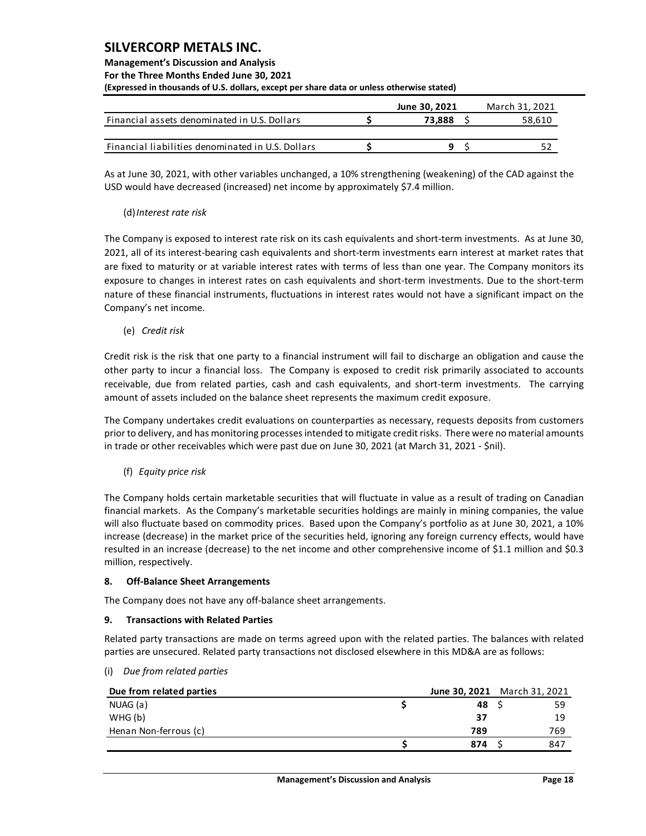## **Management's Discussion and Analysis**

**For the Three Months Ended June 30, 2021**

**(Expressed in thousands of U.S. dollars, except per share data or unless otherwise stated)** 

|                                                   | June 30, 2021 | March 31, 2021 |
|---------------------------------------------------|---------------|----------------|
| Financial assets denominated in U.S. Dollars      | 73.888        | 58,610         |
| Financial liabilities denominated in U.S. Dollars |               |                |

As at June 30, 2021, with other variables unchanged, a 10% strengthening (weakening) of the CAD against the USD would have decreased (increased) net income by approximately \$7.4 million.

## (d)*Interest rate risk*

The Company is exposed to interest rate risk on its cash equivalents and short-term investments. As at June 30, 2021, all of its interest-bearing cash equivalents and short-term investments earn interest at market rates that are fixed to maturity or at variable interest rates with terms of less than one year. The Company monitors its exposure to changes in interest rates on cash equivalents and short-term investments. Due to the short-term nature of these financial instruments, fluctuations in interest rates would not have a significant impact on the Company's net income.

(e) *Credit risk*

Credit risk is the risk that one party to a financial instrument will fail to discharge an obligation and cause the other party to incur a financial loss. The Company is exposed to credit risk primarily associated to accounts receivable, due from related parties, cash and cash equivalents, and short-term investments. The carrying amount of assets included on the balance sheet represents the maximum credit exposure.

The Company undertakes credit evaluations on counterparties as necessary, requests deposits from customers prior to delivery, and has monitoring processes intended to mitigate credit risks. There were no material amounts in trade or other receivables which were past due on June 30, 2021 (at March 31, 2021 - \$nil).

(f) *Equity price risk*

The Company holds certain marketable securities that will fluctuate in value as a result of trading on Canadian financial markets. As the Company's marketable securities holdings are mainly in mining companies, the value will also fluctuate based on commodity prices. Based upon the Company's portfolio as at June 30, 2021, a 10% increase (decrease) in the market price of the securities held, ignoring any foreign currency effects, would have resulted in an increase (decrease) to the net income and other comprehensive income of \$1.1 million and \$0.3 million, respectively.

### <span id="page-18-0"></span>**8. Off-Balance Sheet Arrangements**

The Company does not have any off-balance sheet arrangements.

### <span id="page-18-1"></span>**9. Transactions with Related Parties**

Related party transactions are made on terms agreed upon with the related parties. The balances with related parties are unsecured. Related party transactions not disclosed elsewhere in this MD&A are as follows:

(i) *Due from related parties*

| Due from related parties | June 30, 2021 March 31, 2021 |     |
|--------------------------|------------------------------|-----|
| NUAG (a)                 | 48                           | 59  |
| WHG(b)                   | 37                           | 19  |
| Henan Non-ferrous (c)    | 789                          | 769 |
|                          | 874                          | 847 |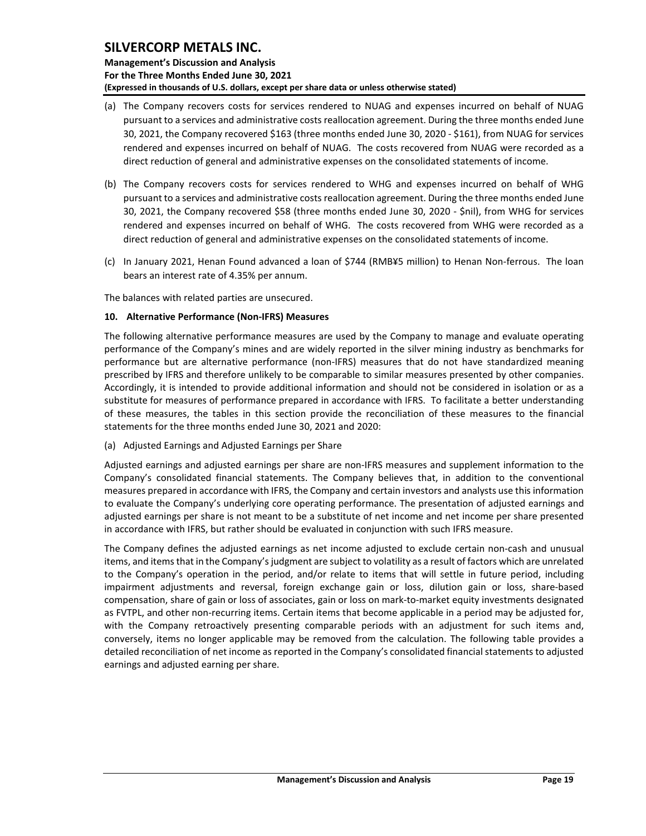**Management's Discussion and Analysis For the Three Months Ended June 30, 2021 (Expressed in thousands of U.S. dollars, except per share data or unless otherwise stated)** 

- (a) The Company recovers costs for services rendered to NUAG and expenses incurred on behalf of NUAG pursuant to a services and administrative costs reallocation agreement. During the three months ended June 30, 2021, the Company recovered \$163 (three months ended June 30, 2020 - \$161), from NUAG for services rendered and expenses incurred on behalf of NUAG. The costs recovered from NUAG were recorded as a direct reduction of general and administrative expenses on the consolidated statements of income.
- (b) The Company recovers costs for services rendered to WHG and expenses incurred on behalf of WHG pursuant to a services and administrative costs reallocation agreement. During the three months ended June 30, 2021, the Company recovered \$58 (three months ended June 30, 2020 - \$nil), from WHG for services rendered and expenses incurred on behalf of WHG. The costs recovered from WHG were recorded as a direct reduction of general and administrative expenses on the consolidated statements of income.
- (c) In January 2021, Henan Found advanced a loan of \$744 (RMB¥5 million) to Henan Non-ferrous. The loan bears an interest rate of 4.35% per annum.

The balances with related parties are unsecured.

## <span id="page-19-0"></span>**10. Alternative Performance (Non-IFRS) Measures**

The following alternative performance measures are used by the Company to manage and evaluate operating performance of the Company's mines and are widely reported in the silver mining industry as benchmarks for performance but are alternative performance (non-IFRS) measures that do not have standardized meaning prescribed by IFRS and therefore unlikely to be comparable to similar measures presented by other companies. Accordingly, it is intended to provide additional information and should not be considered in isolation or as a substitute for measures of performance prepared in accordance with IFRS. To facilitate a better understanding of these measures, the tables in this section provide the reconciliation of these measures to the financial statements for the three months ended June 30, 2021 and 2020:

(a) Adjusted Earnings and Adjusted Earnings per Share

Adjusted earnings and adjusted earnings per share are non-IFRS measures and supplement information to the Company's consolidated financial statements. The Company believes that, in addition to the conventional measures prepared in accordance with IFRS, the Company and certain investors and analysts use this information to evaluate the Company's underlying core operating performance. The presentation of adjusted earnings and adjusted earnings per share is not meant to be a substitute of net income and net income per share presented in accordance with IFRS, but rather should be evaluated in conjunction with such IFRS measure.

The Company defines the adjusted earnings as net income adjusted to exclude certain non-cash and unusual items, and items that in the Company's judgment are subject to volatility as a result of factors which are unrelated to the Company's operation in the period, and/or relate to items that will settle in future period, including impairment adjustments and reversal, foreign exchange gain or loss, dilution gain or loss, share-based compensation, share of gain or loss of associates, gain or loss on mark-to-market equity investments designated as FVTPL, and other non-recurring items. Certain items that become applicable in a period may be adjusted for, with the Company retroactively presenting comparable periods with an adjustment for such items and, conversely, items no longer applicable may be removed from the calculation. The following table provides a detailed reconciliation of net income as reported in the Company's consolidated financial statements to adjusted earnings and adjusted earning per share.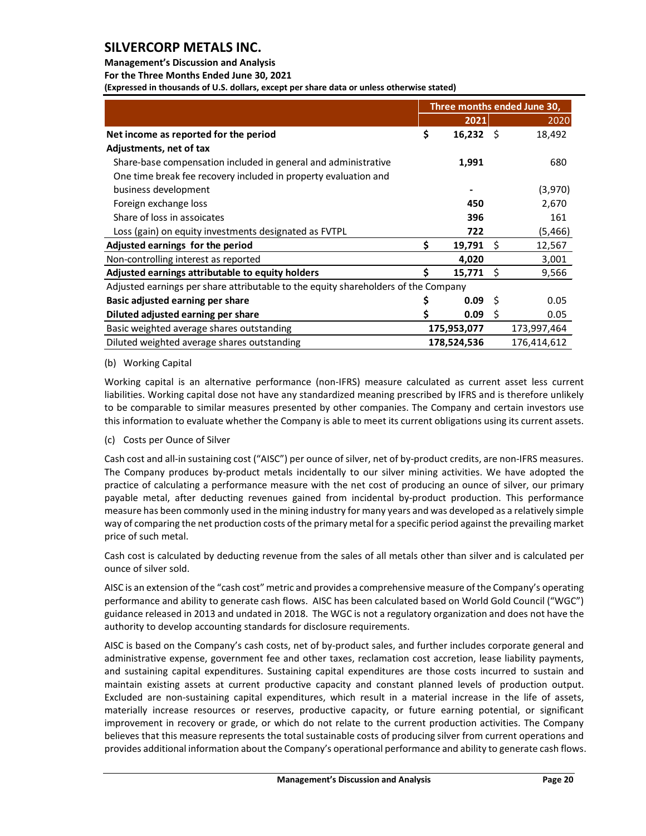### **Management's Discussion and Analysis**

**For the Three Months Ended June 30, 2021**

**(Expressed in thousands of U.S. dollars, except per share data or unless otherwise stated)** 

|                                                                                    |    | Three months ended June 30, |      |             |  |  |  |
|------------------------------------------------------------------------------------|----|-----------------------------|------|-------------|--|--|--|
|                                                                                    |    | 2021                        |      | 2020        |  |  |  |
| Net income as reported for the period                                              | \$ | $16,232$ \$                 |      | 18,492      |  |  |  |
| Adjustments, net of tax                                                            |    |                             |      |             |  |  |  |
| Share-base compensation included in general and administrative                     |    | 1,991                       |      | 680         |  |  |  |
| One time break fee recovery included in property evaluation and                    |    |                             |      |             |  |  |  |
| business development                                                               |    |                             |      | (3,970)     |  |  |  |
| Foreign exchange loss                                                              |    | 450                         |      | 2,670       |  |  |  |
| Share of loss in assoicates                                                        |    | 396                         |      | 161         |  |  |  |
| Loss (gain) on equity investments designated as FVTPL                              |    | 722                         |      | (5, 466)    |  |  |  |
| Adjusted earnings for the period                                                   | \$ | 19,791                      | - \$ | 12,567      |  |  |  |
| Non-controlling interest as reported                                               |    | 4,020                       |      | 3,001       |  |  |  |
| Adjusted earnings attributable to equity holders                                   | S  | $15,771$ \$                 |      | 9,566       |  |  |  |
| Adjusted earnings per share attributable to the equity shareholders of the Company |    |                             |      |             |  |  |  |
| Basic adjusted earning per share                                                   |    | 0.09                        | - \$ | 0.05        |  |  |  |
| Diluted adjusted earning per share                                                 |    | 0.09                        | Ŝ.   | 0.05        |  |  |  |
| Basic weighted average shares outstanding                                          |    | 175,953,077                 |      | 173,997,464 |  |  |  |
| Diluted weighted average shares outstanding                                        |    | 178,524,536                 |      | 176,414,612 |  |  |  |

### (b) Working Capital

Working capital is an alternative performance (non-IFRS) measure calculated as current asset less current liabilities. Working capital dose not have any standardized meaning prescribed by IFRS and is therefore unlikely to be comparable to similar measures presented by other companies. The Company and certain investors use this information to evaluate whether the Company is able to meet its current obligations using its current assets.

### (c) Costs per Ounce of Silver

Cash cost and all-in sustaining cost ("AISC") per ounce of silver, net of by-product credits, are non-IFRS measures. The Company produces by-product metals incidentally to our silver mining activities. We have adopted the practice of calculating a performance measure with the net cost of producing an ounce of silver, our primary payable metal, after deducting revenues gained from incidental by-product production. This performance measure has been commonly used in the mining industry for many years and was developed as a relatively simple way of comparing the net production costs of the primary metal for a specific period against the prevailing market price of such metal.

Cash cost is calculated by deducting revenue from the sales of all metals other than silver and is calculated per ounce of silver sold.

AISC is an extension of the "cash cost" metric and provides a comprehensive measure of the Company's operating performance and ability to generate cash flows. AISC has been calculated based on World Gold Council ("WGC") guidance released in 2013 and undated in 2018. The WGC is not a regulatory organization and does not have the authority to develop accounting standards for disclosure requirements.

AISC is based on the Company's cash costs, net of by-product sales, and further includes corporate general and administrative expense, government fee and other taxes, reclamation cost accretion, lease liability payments, and sustaining capital expenditures. Sustaining capital expenditures are those costs incurred to sustain and maintain existing assets at current productive capacity and constant planned levels of production output. Excluded are non-sustaining capital expenditures, which result in a material increase in the life of assets, materially increase resources or reserves, productive capacity, or future earning potential, or significant improvement in recovery or grade, or which do not relate to the current production activities. The Company believes that this measure represents the total sustainable costs of producing silver from current operations and provides additional information about the Company's operational performance and ability to generate cash flows.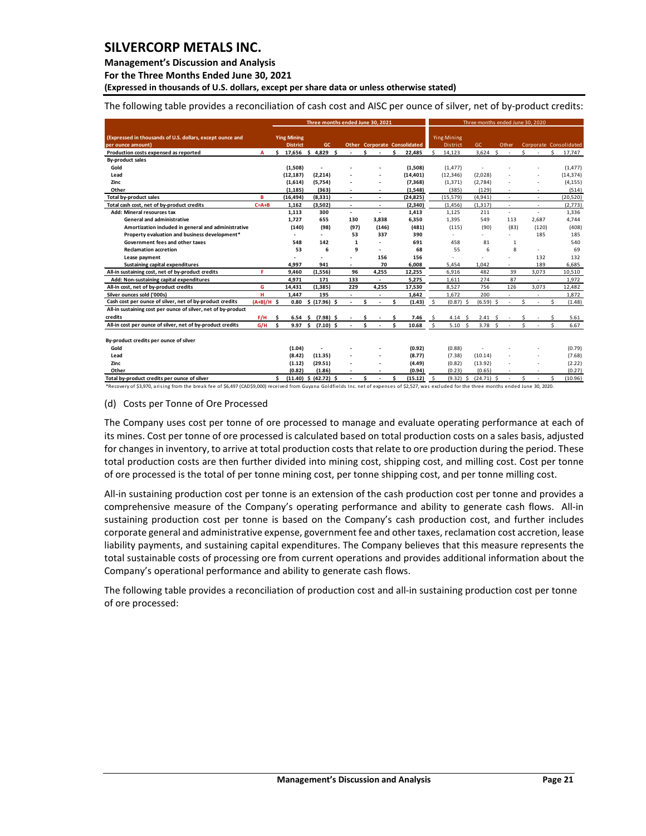**Management's Discussion and Analysis** 

**For the Three Months Ended June 30, 2021**

**(Expressed in thousands of U.S. dollars, except per share data or unless otherwise stated)** 

The following table provides a reconciliation of cash cost and AISC per ounce of silver, net of by-product credits:

|                                                               |              | Three months ended June 30, 2021 |     |                           |  |                          |    |                          |     | Three months ended June 30, 2020 |     |                    |  |                   |       |    |                          |    |                        |
|---------------------------------------------------------------|--------------|----------------------------------|-----|---------------------------|--|--------------------------|----|--------------------------|-----|----------------------------------|-----|--------------------|--|-------------------|-------|----|--------------------------|----|------------------------|
| (Expressed in thousands of U.S. dollars, except ounce and     |              | <b>Ying Mining</b>               |     |                           |  |                          |    |                          |     |                                  |     | <b>Ying Mining</b> |  |                   |       |    |                          |    |                        |
| per ounce amount)                                             |              | <b>District</b>                  |     | GC.                       |  |                          |    |                          |     | Other Corporate Consolidated     |     | District           |  | GC                | Other |    |                          |    | Corporate Consolidated |
| Production costs expensed as reported                         | A            | 17,656<br>\$.                    | \$. | 4,829 \$                  |  | ÷                        | Ś. | $\sim$                   | Ś.  | 22,485                           | Ś.  | 14,123             |  | s.<br>3,624       | ÷     | Ś. |                          | Ś  | 17,747                 |
| <b>By-product sales</b>                                       |              |                                  |     |                           |  |                          |    |                          |     |                                  |     |                    |  |                   |       |    |                          |    |                        |
| Gold                                                          |              | (1,508)                          |     | $\overline{\phantom{a}}$  |  |                          |    |                          |     | (1,508)                          |     | (1, 477)           |  |                   |       |    |                          |    | (1, 477)               |
| Lead                                                          |              | (12, 187)                        |     | (2, 214)                  |  |                          |    |                          |     | (14, 401)                        |     | (12, 346)          |  | (2,028)           |       |    |                          |    | (14, 374)              |
| Zinc                                                          |              | (1,614)                          |     | (5,754)                   |  |                          |    |                          |     | (7, 368)                         |     | (1, 371)           |  | (2,784)           |       |    |                          |    | (4, 155)               |
| Other                                                         |              | (1, 185)                         |     | (363)                     |  |                          |    |                          |     | (1, 548)                         |     | (385)              |  | (129)             |       |    |                          |    | (514)                  |
| Total by-product sales                                        | B            | (16, 494)                        |     | (8, 331)                  |  | $\blacksquare$           |    | $\overline{\phantom{a}}$ |     | (24, 825)                        |     | (15, 579)          |  | (4, 941)          |       |    |                          |    | (20, 520)              |
| Total cash cost, net of by-product credits                    | $C = A + B$  | 1,162                            |     | (3,502)                   |  | $\overline{\phantom{a}}$ |    | ٠                        |     | (2, 340)                         |     | (1, 456)           |  | (1, 317)          | ٠     |    | $\overline{\phantom{a}}$ |    | (2,773)                |
| Add: Mineral resources tax                                    |              | 1.113                            |     | 300                       |  | $\overline{\phantom{a}}$ |    | $\blacksquare$           |     | 1,413                            |     | 1.125              |  | 211               |       |    | ÷,                       |    | 1,336                  |
| <b>General and administrative</b>                             |              | 1.727                            |     | 655                       |  | 130                      |    | 3.838                    |     | 6,350                            |     | 1.395              |  | 549               | 113   |    | 2.687                    |    | 4.744                  |
| Amortization included in general and administrative           |              | (140)                            |     | (98)                      |  | (97)                     |    | (146)                    |     | (481)                            |     | (115)              |  | (90)              | (83)  |    | (120)                    |    | (408)                  |
| Property evaluation and business development*                 |              |                                  |     | $\overline{\phantom{a}}$  |  | 53                       |    | 337                      |     | 390                              |     |                    |  | ÷.                | ÷     |    | 185                      |    | 185                    |
| Government fees and other taxes                               |              | 548                              |     | 142                       |  | $\mathbf{1}$             |    | ٠                        |     | 691                              |     | 458                |  | 81                | 1     |    |                          |    | 540                    |
| <b>Reclamation accretion</b>                                  |              | 53                               |     | 6                         |  | 9                        |    | ٠                        |     | 68                               |     | 55                 |  | 6                 | 8     |    |                          |    | 69                     |
| Lease payment                                                 |              |                                  |     |                           |  |                          |    | 156                      |     | 156                              |     |                    |  |                   |       |    | 132                      |    | 132                    |
| Sustaining capital expenditures                               |              | 4.997                            |     | 941                       |  | ÷                        |    | 70                       |     | 6.008                            |     | 5.454              |  | 1.042             |       |    | 189                      |    | 6,685                  |
| All-in sustaining cost, net of by-product credits             | F.           | 9.460                            |     | (1, 556)                  |  | 96                       |    | 4.255                    |     | 12,255                           |     | 6.916              |  | 482               | 39    |    | 3,073                    |    | 10,510                 |
| Add: Non-sustaining capital expenditures                      |              | 4,971                            |     | 171                       |  | 133                      |    |                          |     | 5,275                            |     | 1,611              |  | 274               | 87    |    |                          |    | 1,972                  |
| All-in cost, net of by-product credits                        | G            | 14,431                           |     | (1, 385)                  |  | 229                      |    | 4,255                    |     | 17,530                           |     | 8,527              |  | 756               | 126   |    | 3,073                    |    | 12,482                 |
| Silver ounces sold ('000s)                                    | н            | 1,447                            |     | 195                       |  | $\overline{\phantom{a}}$ |    |                          |     | 1,642                            |     | 1,672              |  | 200               |       |    | $\overline{\phantom{a}}$ |    | 1,872                  |
| Cash cost per ounce of silver, net of by-product credits      | $(A+B)/H$ \$ | 0.80                             |     | \$(17.96) \$              |  | ä,                       | Ś  |                          | \$. | (1.43)                           | \$. | $(0.87)$ \$        |  | $(6.59)$ \$       |       | Ś. | $\overline{a}$           | Ŝ. | (1.48)                 |
| All-in sustaining cost per ounce of silver, net of by-product |              |                                  |     |                           |  |                          |    |                          |     |                                  |     |                    |  |                   |       |    |                          |    |                        |
| credits                                                       | F/H          | \$.<br>6.54                      | - Ś | (7.98) \$                 |  |                          |    |                          |     | 7.46                             | \$  | 4.14S              |  | 2.41<br>- \$      |       |    |                          |    | 5.61                   |
| All-in cost per ounce of silver, net of by-product credits    | G/H          | \$.                              |     | 9.97 \$ (7.10) \$         |  |                          | Ś. |                          | Ś   | 10.68                            | Š.  | 5.10 <sub>5</sub>  |  | 3.78 <sub>5</sub> |       | Š. |                          | ¢  | 6.67                   |
|                                                               |              |                                  |     |                           |  |                          |    |                          |     |                                  |     |                    |  |                   |       |    |                          |    |                        |
| By-product credits per ounce of silver                        |              |                                  |     |                           |  |                          |    |                          |     |                                  |     |                    |  |                   |       |    |                          |    |                        |
| Gold                                                          |              | (1.04)                           |     |                           |  |                          |    |                          |     | (0.92)                           |     | (0.88)             |  |                   |       |    |                          |    | (0.79)                 |
| Lead                                                          |              | (8.42)                           |     | (11.35)                   |  |                          |    |                          |     | (8.77)                           |     | (7.38)             |  | (10.14)           |       |    |                          |    | (7.68)                 |
| Zinc                                                          |              | (1.12)                           |     | (29.51)                   |  |                          |    |                          |     | (4.49)                           |     | (0.82)             |  | (13.92)           |       |    |                          |    | (2.22)                 |
| Other                                                         |              | (0.82)                           |     | (1.86)                    |  |                          |    |                          |     | (0.94)                           |     | (0.23)             |  | (0.65)            |       |    |                          |    | (0.27)                 |
| Total by-product credits per ounce of silver                  |              | Ś.                               |     | $(11.40)$ \$ $(42.72)$ \$ |  |                          | Ś  |                          | Ś   | (15.12)                          | Ŝ.  | $(9.32)$ \$        |  | $(24.71)$ \$      |       | Ś. |                          | Ŝ  | (10.96)                |

\*Recovery of \$3,970, arising from the break fee of \$6,497 (CAD\$9,000) received from Guyana Goldfields Inc. net of expenses of \$2,527, was excluded for the three months ended June 30, 2020.

#### (d) Costs per Tonne of Ore Processed

The Company uses cost per tonne of ore processed to manage and evaluate operating performance at each of its mines. Cost per tonne of ore processed is calculated based on total production costs on a sales basis, adjusted for changes in inventory, to arrive at total production costs that relate to ore production during the period. These total production costs are then further divided into mining cost, shipping cost, and milling cost. Cost per tonne of ore processed is the total of per tonne mining cost, per tonne shipping cost, and per tonne milling cost.

All-in sustaining production cost per tonne is an extension of the cash production cost per tonne and provides a comprehensive measure of the Company's operating performance and ability to generate cash flows. All-in sustaining production cost per tonne is based on the Company's cash production cost, and further includes corporate general and administrative expense, government fee and other taxes, reclamation cost accretion, lease liability payments, and sustaining capital expenditures. The Company believes that this measure represents the total sustainable costs of processing ore from current operations and provides additional information about the Company's operational performance and ability to generate cash flows.

The following table provides a reconciliation of production cost and all-in sustaining production cost per tonne of ore processed: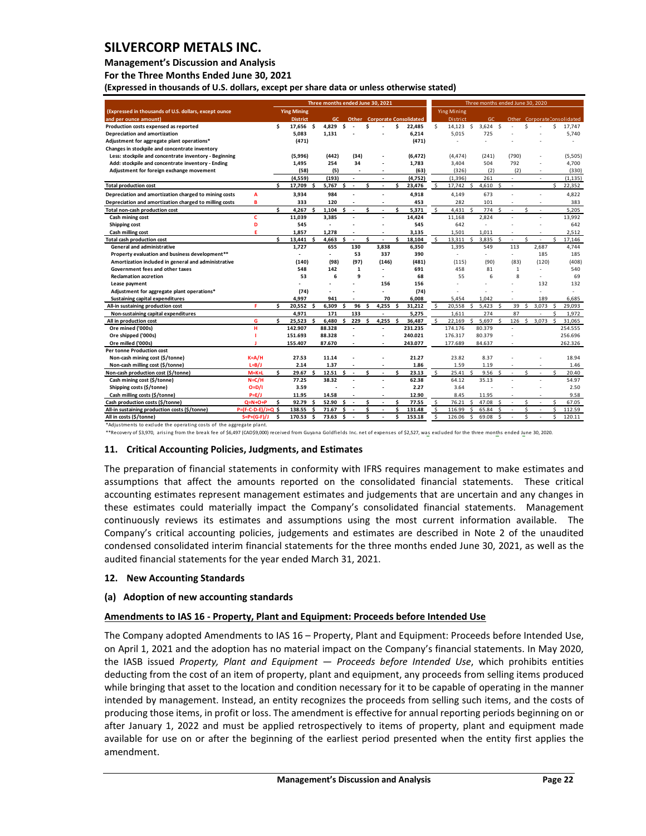**Management's Discussion and Analysis** 

**For the Three Months Ended June 30, 2021**

**(Expressed in thousands of U.S. dollars, except per share data or unless otherwise stated)** 

|                                                        |                     | Three months ended June 30, 2021 |                      |    |                |     | Three months ended June 30, 2020 |   |                      |     |                                     |    |                    |               |                |     |                |   |        |    |                              |
|--------------------------------------------------------|---------------------|----------------------------------|----------------------|----|----------------|-----|----------------------------------|---|----------------------|-----|-------------------------------------|----|--------------------|---------------|----------------|-----|----------------|---|--------|----|------------------------------|
| (Expressed in thousands of U.S. dollars, except ounce  |                     |                                  | <b>Ying Mining</b>   |    |                |     |                                  |   |                      |     |                                     |    | <b>Ying Mining</b> |               |                |     |                |   |        |    |                              |
| and per ounce amount)                                  |                     |                                  | <b>District</b>      |    | GC.            |     |                                  |   |                      |     | <b>Other</b> Corporate Consolidated |    | District           |               | GC.            |     |                |   |        |    | Other Corporate Consolidated |
| Production costs expensed as reported                  |                     | \$                               | 17.656 \$            |    | 4.829          | \$. |                                  | Ś |                      | \$. | 22.485                              | Š. | 14.123             | Ŝ.            | 3.624          | -Ś  |                | Ś |        | Ś  | 17.747                       |
| Depreciation and amortization                          |                     |                                  | 5,083                |    | 1,131          |     |                                  |   |                      |     | 6,214                               |    | 5,015              |               | 725            |     |                |   |        |    | 5,740                        |
| Adjustment for aggregate plant operations*             |                     |                                  | (471)                |    |                |     |                                  |   |                      |     | (471)                               |    |                    |               |                |     |                |   |        |    |                              |
| Changes in stockpile and concentrate inventory         |                     |                                  |                      |    |                |     |                                  |   |                      |     |                                     |    |                    |               |                |     |                |   |        |    |                              |
| Less: stockpile and concentrate inventory - Beginning  |                     |                                  | (5,996)              |    | (442)          |     | (34)                             |   |                      |     | (6.472)                             |    | (4.474)            |               | (241)          |     | (790)          |   |        |    | (5,505)                      |
| Add: stockpile and concentrate inventory - Ending      |                     |                                  | 1,495                |    | 254            |     | 34                               |   |                      |     | 1,783                               |    | 3,404              |               | 504            |     | 792            |   |        |    | 4,700                        |
| Adjustment for foreign exchange movement               |                     |                                  | (58)                 |    | (5)            |     |                                  |   |                      |     | (63)                                |    | (326)              |               | (2)            |     | (2)            |   |        |    | (330)                        |
|                                                        |                     |                                  | (4, 559)             |    | (193)          |     |                                  |   |                      |     | (4,752)                             |    | (1, 396)           |               | 261            |     | $\sim$         |   |        |    | (1, 135)                     |
| <b>Total production cost</b>                           |                     | Ś.                               | 17,709               | Ś  | 5,767          | Ś.  | $\sim$                           | Ś | ٠                    | \$. | 23,476                              | \$ | 17,742             | S.            | 4,610          | \$. | $\sim$         |   |        | Ś. | 22,352                       |
| Depreciation and amortization charged to mining costs  | A                   |                                  | 3,934                |    | 984            |     |                                  |   |                      |     | 4,918                               |    | 4,149              |               | 673            |     |                |   | ÷      |    | 4,822                        |
| Depreciation and amortization charged to milling costs | в                   |                                  | 333                  |    | 120            |     |                                  |   | ٠                    |     | 453                                 |    | 282                |               | 101            |     | $\sim$         |   | $\sim$ |    | 383                          |
| Total non-cash production cost                         |                     | Ś                                | 4,267                | ۹  | 1,104          | \$  | $\tilde{\phantom{a}}$            | Ś |                      | \$  | 5,371                               | \$ | 4,431              | Ŝ.            | 774            | \$  | ÷.             | Ś | ÷,     |    | 5.205                        |
| Cash mining cost                                       | c                   |                                  | 11.039               |    | 3,385          |     |                                  |   |                      |     | 14,424                              |    | 11,168             |               | 2,824          |     |                |   |        |    | 13,992                       |
| Shipping cost                                          | D                   |                                  | 545                  |    |                |     |                                  |   |                      |     | 545                                 |    | 642                |               | $\overline{a}$ |     |                |   |        |    | 642                          |
| Cash milling cost                                      | E                   |                                  | 1,857                |    | 1,278          |     |                                  |   |                      |     | 3,135                               |    | 1.501              |               | 1.011          |     |                |   |        |    | 2,512                        |
| <b>Total cash production cost</b>                      |                     | ¢                                | 13,441               | Ŝ. | 4,663          | \$. | $\sim$                           | Ś | ٠                    | ¢   | 18,104                              | Ŝ. | 13,311             | Ŝ.            | 3,835          | -Ś  | $\sim$         | Ś | ٠      | Ś  | 17,146                       |
| <b>General and administrative</b>                      |                     |                                  | 1,727                |    | 655            |     | 130                              |   | 3.838                |     | 6.350                               |    | 1.395              |               | 549            |     | 113            |   | 2.687  |    | 4.744                        |
| Property evaluation and business development**         |                     |                                  | $\ddot{\phantom{1}}$ |    | $\blacksquare$ |     | 53                               |   | 337                  |     | 390                                 |    | $\sim$             |               | ÷,             |     | $\sim$         |   | 185    |    | 185                          |
| Amortization included in general and administrative    |                     |                                  | (140)                |    | (98)           |     | (97)                             |   | (146)                |     | (481)                               |    | (115)              |               | (90)           |     | (83)           |   | (120)  |    | (408)                        |
| Government fees and other taxes                        |                     |                                  | 548                  |    | 142            |     | $\mathbf{1}$                     |   |                      |     | 691                                 |    | 458                |               | 81             |     | $\mathbf{1}$   |   | ÷      |    | 540                          |
| <b>Reclamation accretion</b>                           |                     |                                  | 53                   |    | 6              |     | 9                                |   |                      |     | 68                                  |    | 55                 |               | 6              |     | 8              |   | ÷.     |    | 69                           |
| Lease payment                                          |                     |                                  |                      |    |                |     |                                  |   | 156                  |     | 156                                 |    |                    |               |                |     |                |   | 132    |    | 132                          |
| Adjustment for aggregate plant operations*             |                     |                                  | (74)                 |    |                |     |                                  |   |                      |     | (74)                                |    |                    |               |                |     |                |   | ÷      |    | ÷                            |
| Sustaining capital expenditures                        |                     |                                  | 4,997                |    | 941            |     |                                  |   | 70                   |     | 6,008                               |    | 5,454              |               | 1.042          |     |                |   | 189    |    | 6,685                        |
| All-in sustaining production cost                      | F                   | Ś                                | 20,552               | s  | 6,309          | ¢   | 96                               | Ś | 4.255                | \$  | 31,212                              | \$ | 20,558             | Ŝ.            | 5.423          | .s  | 39             | Ś | 3.073  | Ś  | 29,093                       |
| Non-sustaining capital expenditures                    |                     |                                  | 4,971                |    | 171            |     | 133                              |   |                      |     | 5,275                               |    | 1.611              |               | 274            |     | 87             |   |        | Ś  | 1,972                        |
| All in production cost                                 | G                   | 4                                | 25.523               | ¢  | 6.480          | \$  | 229                              | ¢ | 4.255                | Ŝ   | 36.487                              | s. | 22.169             | Ś.            | 5.697          |     | 126            | S | 3.073  |    | 31.065                       |
| Ore mined ('000s)                                      | н                   |                                  | 142.907              |    | 88.328         |     | L.                               |   | $\overline{a}$       |     | 231.235                             |    | 174.176            |               | 80.379         |     | $\overline{a}$ |   |        |    | 254.555                      |
| Ore shipped ('000s)                                    |                     |                                  | 151.693              |    | 88.328         |     |                                  |   |                      |     | 240.021                             |    | 176.317            |               | 80.379         |     |                |   |        |    | 256.696                      |
| Ore milled ('000s)                                     |                     |                                  | 155.407              |    | 87.670         |     |                                  |   |                      |     | 243.077                             |    | 177.689            |               | 84.637         |     |                |   |        |    | 262.326                      |
| <b>Per tonne Production cost</b>                       |                     |                                  |                      |    |                |     |                                  |   |                      |     |                                     |    |                    |               |                |     |                |   |        |    |                              |
| Non-cash mining cost (\$/tonne)                        | $K = A/H$           |                                  | 27.53                |    | 11.14          |     |                                  |   |                      |     | 21.27                               |    | 23.82              |               | 8.37           |     |                |   |        |    | 18.94                        |
| Non-cash milling cost (\$/tonne)                       | $L=B/J$             |                                  | 2.14                 |    | 1.37           |     |                                  |   |                      |     | 1.86                                |    | 1.59               |               | 1.19           |     |                |   |        |    | 1.46                         |
| Non-cash production cost (\$/tonne)                    | $M=K+1$             | ¢                                | 29.67                |    | 12.51          | ¢   | ÷.                               | Ś |                      | Ś   | 23.13                               | \$ | 25.41              | $\hat{\zeta}$ | 9.56           |     |                | ¢ |        | Ś  | 20.40                        |
| Cash mining cost (\$/tonne)                            | $N = C/H$           |                                  | 77.25                |    | 38.32          |     |                                  |   |                      |     | 62.38                               |    | 64.12              |               | 35.13          |     |                |   | J.     |    | 54.97                        |
| Shipping costs (\$/tonne)                              | $O=D/I$             |                                  | 3.59                 |    |                |     |                                  |   |                      |     | 2.27                                |    | 3.64               |               |                |     |                |   |        |    | 2.50                         |
| Cash milling costs (\$/tonne)                          | $P=E/J$             |                                  | 11.95                |    | 14.58          |     |                                  |   |                      |     | 12.90                               |    | 8.45               |               | 11.95          |     |                |   |        |    | 9.58                         |
| Cash production costs (\$/tonne)                       | $Q=N+O+P$           | Ś                                | 92.79                | \$ | 52.90          | \$  | $\ddot{\phantom{1}}$             | Ś | $\ddot{\phantom{1}}$ | \$. | 77.55                               | \$ | 76.21              | \$            | 47.08          | Ś   | $\sim$         | Ś | ÷,     | Ś  | 67.05                        |
| All-in sustaining production costs (\$/tonne)          | P=(F-C-D-E)/J+Q     | \$.                              | 138.55               |    | 71.67          | Ś   |                                  | Ś |                      | Ś   | 131.48                              | \$ | 116.99             | Ś             | 65.84          | Ś   |                | Ś |        | Ś  | 112.59                       |
| All in costs (\$/tonne)                                | $S = P + (G - F)/J$ | Ś                                | 170.53               | \$ | 73.63          | \$  | $\sim$                           | Ś |                      | Ś   | 153.18                              | Ś  | 126.06             | $\mathsf{S}$  | 69.08          | Ŝ.  |                | Ś |        | Ś  | 120.11                       |

\*Adjustments to exclude the operating costs of the aggregate plant. \*\*Recovery of \$3,970, arising from the break fee of \$6,497 (CAD\$9,000) received from Guyana Goldfields Inc. net of expenses of \$2,527, was excluded for the three months ended June 30, 2020.

#### <span id="page-22-0"></span>**11. Critical Accounting Policies, Judgments, and Estimates**

The preparation of financial statements in conformity with IFRS requires management to make estimates and assumptions that affect the amounts reported on the consolidated financial statements. These critical accounting estimates represent management estimates and judgements that are uncertain and any changes in these estimates could materially impact the Company's consolidated financial statements. Management continuously reviews its estimates and assumptions using the most current information available. The Company's critical accounting policies, judgements and estimates are described in Note 2 of the unaudited condensed consolidated interim financial statements for the three months ended June 30, 2021, as well as the audited financial statements for the year ended March 31, 2021.

#### <span id="page-22-1"></span>**12. New Accounting Standards**

### **(a) Adoption of new accounting standards**

### **Amendments to IAS 16 - Property, Plant and Equipment: Proceeds before Intended Use**

The Company adopted Amendments to IAS 16 – Property, Plant and Equipment: Proceeds before Intended Use, on April 1, 2021 and the adoption has no material impact on the Company's financial statements. In May 2020, the IASB issued *Property, Plant and Equipment — Proceeds before Intended Use*, which prohibits entities deducting from the cost of an item of property, plant and equipment, any proceeds from selling items produced while bringing that asset to the location and condition necessary for it to be capable of operating in the manner intended by management. Instead, an entity recognizes the proceeds from selling such items, and the costs of producing those items, in profit or loss. The amendment is effective for annual reporting periods beginning on or after January 1, 2022 and must be applied retrospectively to items of property, plant and equipment made available for use on or after the beginning of the earliest period presented when the entity first applies the amendment.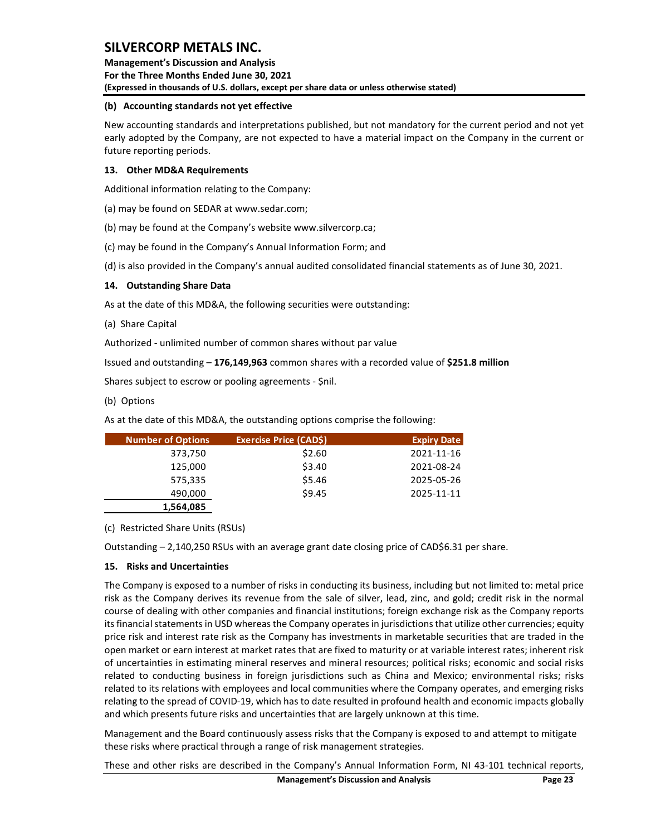**Management's Discussion and Analysis For the Three Months Ended June 30, 2021 (Expressed in thousands of U.S. dollars, except per share data or unless otherwise stated)** 

## **(b) Accounting standards not yet effective**

New accounting standards and interpretations published, but not mandatory for the current period and not yet early adopted by the Company, are not expected to have a material impact on the Company in the current or future reporting periods.

## <span id="page-23-0"></span>**13. Other MD&A Requirements**

Additional information relating to the Company:

(a) may be found on SEDAR at www.sedar.com;

(b) may be found at the Company's website www.silvercorp.ca;

(c) may be found in the Company's Annual Information Form; and

(d) is also provided in the Company's annual audited consolidated financial statements as of June 30, 2021.

## <span id="page-23-1"></span>**14. Outstanding Share Data**

As at the date of this MD&A, the following securities were outstanding:

(a) Share Capital

Authorized - unlimited number of common shares without par value

Issued and outstanding – **176,149,963** common shares with a recorded value of **\$251.8 million**

Shares subject to escrow or pooling agreements - \$nil.

(b) Options

As at the date of this MD&A, the outstanding options comprise the following:

| <b>Number of Options</b> | <b>Exercise Price (CADS)</b> | <b>Expiry Date</b> |
|--------------------------|------------------------------|--------------------|
| 373,750                  | \$2.60                       | 2021-11-16         |
| 125,000                  | \$3.40                       | 2021-08-24         |
| 575,335                  | \$5.46                       | 2025-05-26         |
| 490,000                  | \$9.45                       | 2025-11-11         |
| 1,564,085                |                              |                    |

(c) Restricted Share Units (RSUs)

Outstanding – 2,140,250 RSUs with an average grant date closing price of CAD\$6.31 per share.

## <span id="page-23-2"></span>**15. Risks and Uncertainties**

The Company is exposed to a number of risks in conducting its business, including but not limited to: metal price risk as the Company derives its revenue from the sale of silver, lead, zinc, and gold; credit risk in the normal course of dealing with other companies and financial institutions; foreign exchange risk as the Company reports its financial statements in USD whereas the Company operates in jurisdictions that utilize other currencies; equity price risk and interest rate risk as the Company has investments in marketable securities that are traded in the open market or earn interest at market rates that are fixed to maturity or at variable interest rates; inherent risk of uncertainties in estimating mineral reserves and mineral resources; political risks; economic and social risks related to conducting business in foreign jurisdictions such as China and Mexico; environmental risks; risks related to its relations with employees and local communities where the Company operates, and emerging risks relating to the spread of COVID-19, which has to date resulted in profound health and economic impacts globally and which presents future risks and uncertainties that are largely unknown at this time.

Management and the Board continuously assess risks that the Company is exposed to and attempt to mitigate these risks where practical through a range of risk management strategies.

These and other risks are described in the Company's Annual Information Form, NI 43-101 technical reports,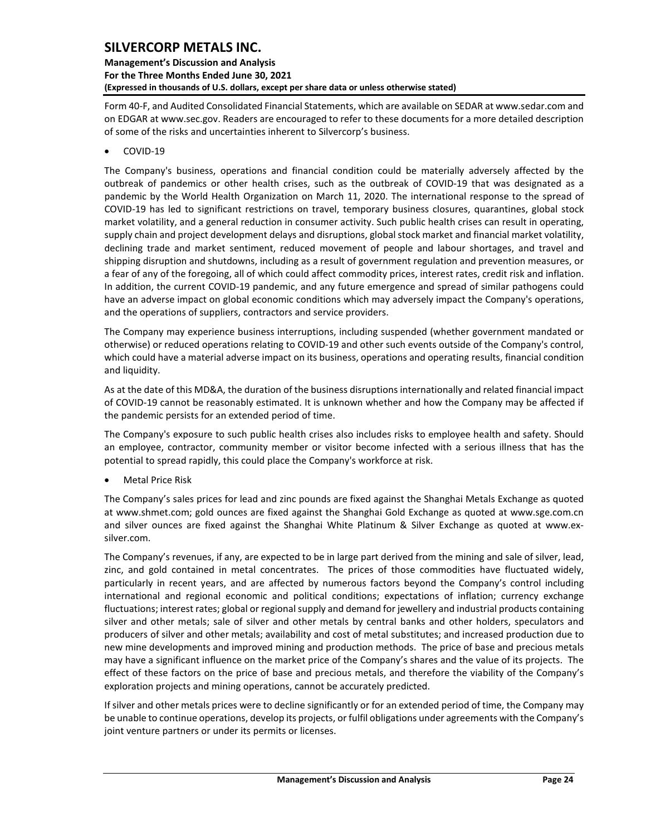## **Management's Discussion and Analysis For the Three Months Ended June 30, 2021 (Expressed in thousands of U.S. dollars, except per share data or unless otherwise stated)**

Form 40-F, and Audited Consolidated Financial Statements, which are available on SEDAR at www.sedar.com and on EDGAR at www.sec.gov. Readers are encouraged to refer to these documents for a more detailed description of some of the risks and uncertainties inherent to Silvercorp's business.

• COVID-19

The Company's business, operations and financial condition could be materially adversely affected by the outbreak of pandemics or other health crises, such as the outbreak of COVID-19 that was designated as a pandemic by the World Health Organization on March 11, 2020. The international response to the spread of COVID-19 has led to significant restrictions on travel, temporary business closures, quarantines, global stock market volatility, and a general reduction in consumer activity. Such public health crises can result in operating, supply chain and project development delays and disruptions, global stock market and financial market volatility, declining trade and market sentiment, reduced movement of people and labour shortages, and travel and shipping disruption and shutdowns, including as a result of government regulation and prevention measures, or a fear of any of the foregoing, all of which could affect commodity prices, interest rates, credit risk and inflation. In addition, the current COVID-19 pandemic, and any future emergence and spread of similar pathogens could have an adverse impact on global economic conditions which may adversely impact the Company's operations, and the operations of suppliers, contractors and service providers.

The Company may experience business interruptions, including suspended (whether government mandated or otherwise) or reduced operations relating to COVID-19 and other such events outside of the Company's control, which could have a material adverse impact on its business, operations and operating results, financial condition and liquidity.

As at the date of this MD&A, the duration of the business disruptions internationally and related financial impact of COVID-19 cannot be reasonably estimated. It is unknown whether and how the Company may be affected if the pandemic persists for an extended period of time.

The Company's exposure to such public health crises also includes risks to employee health and safety. Should an employee, contractor, community member or visitor become infected with a serious illness that has the potential to spread rapidly, this could place the Company's workforce at risk.

• Metal Price Risk

The Company's sales prices for lead and zinc pounds are fixed against the Shanghai Metals Exchange as quoted at [www.shmet.com;](http://www.shmet.com/) gold ounces are fixed against the Shanghai Gold Exchange as quoted at www.sge.com.cn and silver ounces are fixed against the Shanghai White Platinum & Silver Exchange as quoted at www.exsilver.com.

The Company's revenues, if any, are expected to be in large part derived from the mining and sale of silver, lead, zinc, and gold contained in metal concentrates. The prices of those commodities have fluctuated widely, particularly in recent years, and are affected by numerous factors beyond the Company's control including international and regional economic and political conditions; expectations of inflation; currency exchange fluctuations; interest rates; global or regional supply and demand for jewellery and industrial products containing silver and other metals; sale of silver and other metals by central banks and other holders, speculators and producers of silver and other metals; availability and cost of metal substitutes; and increased production due to new mine developments and improved mining and production methods. The price of base and precious metals may have a significant influence on the market price of the Company's shares and the value of its projects. The effect of these factors on the price of base and precious metals, and therefore the viability of the Company's exploration projects and mining operations, cannot be accurately predicted.

If silver and other metals prices were to decline significantly or for an extended period of time, the Company may be unable to continue operations, develop its projects, or fulfil obligations under agreements with the Company's joint venture partners or under its permits or licenses.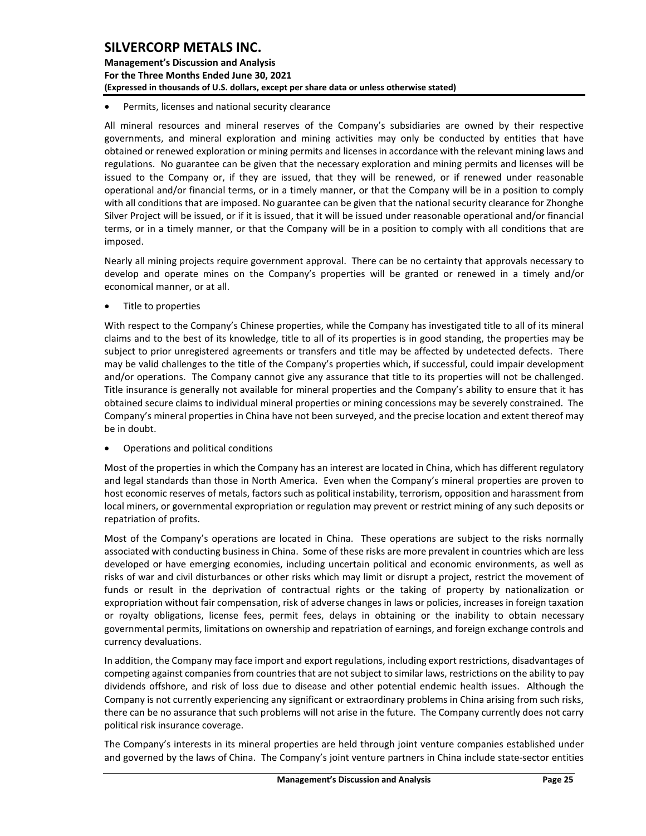**Management's Discussion and Analysis For the Three Months Ended June 30, 2021 (Expressed in thousands of U.S. dollars, except per share data or unless otherwise stated)** 

Permits, licenses and national security clearance

All mineral resources and mineral reserves of the Company's subsidiaries are owned by their respective governments, and mineral exploration and mining activities may only be conducted by entities that have obtained or renewed exploration or mining permits and licenses in accordance with the relevant mining laws and regulations. No guarantee can be given that the necessary exploration and mining permits and licenses will be issued to the Company or, if they are issued, that they will be renewed, or if renewed under reasonable operational and/or financial terms, or in a timely manner, or that the Company will be in a position to comply with all conditions that are imposed. No guarantee can be given that the national security clearance for Zhonghe Silver Project will be issued, or if it is issued, that it will be issued under reasonable operational and/or financial terms, or in a timely manner, or that the Company will be in a position to comply with all conditions that are imposed.

Nearly all mining projects require government approval. There can be no certainty that approvals necessary to develop and operate mines on the Company's properties will be granted or renewed in a timely and/or economical manner, or at all.

Title to properties

With respect to the Company's Chinese properties, while the Company has investigated title to all of its mineral claims and to the best of its knowledge, title to all of its properties is in good standing, the properties may be subject to prior unregistered agreements or transfers and title may be affected by undetected defects. There may be valid challenges to the title of the Company's properties which, if successful, could impair development and/or operations. The Company cannot give any assurance that title to its properties will not be challenged. Title insurance is generally not available for mineral properties and the Company's ability to ensure that it has obtained secure claims to individual mineral properties or mining concessions may be severely constrained. The Company's mineral properties in China have not been surveyed, and the precise location and extent thereof may be in doubt.

• Operations and political conditions

Most of the properties in which the Company has an interest are located in China, which has different regulatory and legal standards than those in North America. Even when the Company's mineral properties are proven to host economic reserves of metals, factors such as political instability, terrorism, opposition and harassment from local miners, or governmental expropriation or regulation may prevent or restrict mining of any such deposits or repatriation of profits.

Most of the Company's operations are located in China. These operations are subject to the risks normally associated with conducting business in China. Some of these risks are more prevalent in countries which are less developed or have emerging economies, including uncertain political and economic environments, as well as risks of war and civil disturbances or other risks which may limit or disrupt a project, restrict the movement of funds or result in the deprivation of contractual rights or the taking of property by nationalization or expropriation without fair compensation, risk of adverse changes in laws or policies, increases in foreign taxation or royalty obligations, license fees, permit fees, delays in obtaining or the inability to obtain necessary governmental permits, limitations on ownership and repatriation of earnings, and foreign exchange controls and currency devaluations.

In addition, the Company may face import and export regulations, including export restrictions, disadvantages of competing against companies from countries that are not subject to similar laws, restrictions on the ability to pay dividends offshore, and risk of loss due to disease and other potential endemic health issues. Although the Company is not currently experiencing any significant or extraordinary problems in China arising from such risks, there can be no assurance that such problems will not arise in the future. The Company currently does not carry political risk insurance coverage.

The Company's interests in its mineral properties are held through joint venture companies established under and governed by the laws of China. The Company's joint venture partners in China include state-sector entities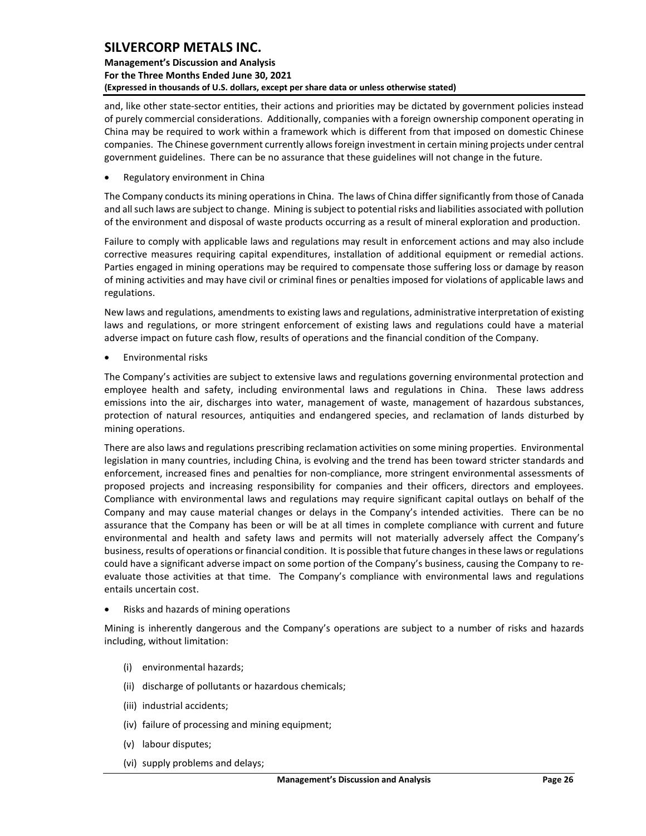**Management's Discussion and Analysis For the Three Months Ended June 30, 2021 (Expressed in thousands of U.S. dollars, except per share data or unless otherwise stated)** 

and, like other state-sector entities, their actions and priorities may be dictated by government policies instead of purely commercial considerations. Additionally, companies with a foreign ownership component operating in China may be required to work within a framework which is different from that imposed on domestic Chinese companies. The Chinese government currently allows foreign investment in certain mining projects under central government guidelines. There can be no assurance that these guidelines will not change in the future.

• Regulatory environment in China

The Company conducts its mining operations in China. The laws of China differ significantly from those of Canada and all such laws are subject to change. Mining is subject to potential risks and liabilities associated with pollution of the environment and disposal of waste products occurring as a result of mineral exploration and production.

Failure to comply with applicable laws and regulations may result in enforcement actions and may also include corrective measures requiring capital expenditures, installation of additional equipment or remedial actions. Parties engaged in mining operations may be required to compensate those suffering loss or damage by reason of mining activities and may have civil or criminal fines or penalties imposed for violations of applicable laws and regulations.

New laws and regulations, amendments to existing laws and regulations, administrative interpretation of existing laws and regulations, or more stringent enforcement of existing laws and regulations could have a material adverse impact on future cash flow, results of operations and the financial condition of the Company.

• Environmental risks

The Company's activities are subject to extensive laws and regulations governing environmental protection and employee health and safety, including environmental laws and regulations in China. These laws address emissions into the air, discharges into water, management of waste, management of hazardous substances, protection of natural resources, antiquities and endangered species, and reclamation of lands disturbed by mining operations.

There are also laws and regulations prescribing reclamation activities on some mining properties. Environmental legislation in many countries, including China, is evolving and the trend has been toward stricter standards and enforcement, increased fines and penalties for non-compliance, more stringent environmental assessments of proposed projects and increasing responsibility for companies and their officers, directors and employees. Compliance with environmental laws and regulations may require significant capital outlays on behalf of the Company and may cause material changes or delays in the Company's intended activities. There can be no assurance that the Company has been or will be at all times in complete compliance with current and future environmental and health and safety laws and permits will not materially adversely affect the Company's business, results of operations or financial condition. It is possible that future changes in these laws or regulations could have a significant adverse impact on some portion of the Company's business, causing the Company to reevaluate those activities at that time. The Company's compliance with environmental laws and regulations entails uncertain cost.

• Risks and hazards of mining operations

Mining is inherently dangerous and the Company's operations are subject to a number of risks and hazards including, without limitation:

- (i) environmental hazards;
- (ii) discharge of pollutants or hazardous chemicals;
- (iii) industrial accidents;
- (iv) failure of processing and mining equipment;
- (v) labour disputes;
- (vi) supply problems and delays;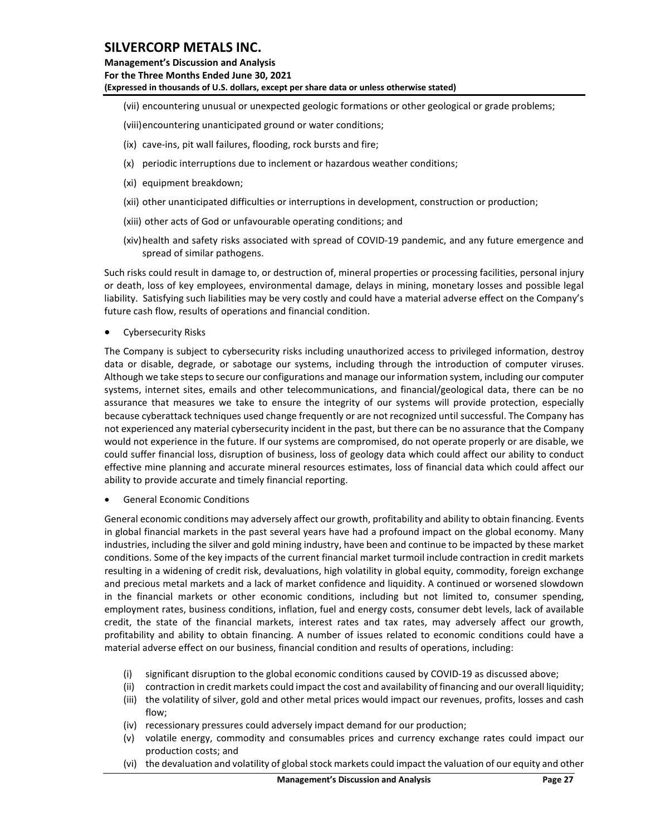**Management's Discussion and Analysis For the Three Months Ended June 30, 2021 (Expressed in thousands of U.S. dollars, except per share data or unless otherwise stated)** 

- (vii) encountering unusual or unexpected geologic formations or other geological or grade problems;
- (viii)encountering unanticipated ground or water conditions;
- (ix) cave-ins, pit wall failures, flooding, rock bursts and fire;
- (x) periodic interruptions due to inclement or hazardous weather conditions;
- (xi) equipment breakdown;
- (xii) other unanticipated difficulties or interruptions in development, construction or production;
- (xiii) other acts of God or unfavourable operating conditions; and
- (xiv)health and safety risks associated with spread of COVID-19 pandemic, and any future emergence and spread of similar pathogens.

Such risks could result in damage to, or destruction of, mineral properties or processing facilities, personal injury or death, loss of key employees, environmental damage, delays in mining, monetary losses and possible legal liability. Satisfying such liabilities may be very costly and could have a material adverse effect on the Company's future cash flow, results of operations and financial condition.

Cybersecurity Risks

The Company is subject to cybersecurity risks including unauthorized access to privileged information, destroy data or disable, degrade, or sabotage our systems, including through the introduction of computer viruses. Although we take steps to secure our configurations and manage our information system, including our computer systems, internet sites, emails and other telecommunications, and financial/geological data, there can be no assurance that measures we take to ensure the integrity of our systems will provide protection, especially because cyberattack techniques used change frequently or are not recognized until successful. The Company has not experienced any material cybersecurity incident in the past, but there can be no assurance that the Company would not experience in the future. If our systems are compromised, do not operate properly or are disable, we could suffer financial loss, disruption of business, loss of geology data which could affect our ability to conduct effective mine planning and accurate mineral resources estimates, loss of financial data which could affect our ability to provide accurate and timely financial reporting.

• General Economic Conditions

General economic conditions may adversely affect our growth, profitability and ability to obtain financing. Events in global financial markets in the past several years have had a profound impact on the global economy. Many industries, including the silver and gold mining industry, have been and continue to be impacted by these market conditions. Some of the key impacts of the current financial market turmoil include contraction in credit markets resulting in a widening of credit risk, devaluations, high volatility in global equity, commodity, foreign exchange and precious metal markets and a lack of market confidence and liquidity. A continued or worsened slowdown in the financial markets or other economic conditions, including but not limited to, consumer spending, employment rates, business conditions, inflation, fuel and energy costs, consumer debt levels, lack of available credit, the state of the financial markets, interest rates and tax rates, may adversely affect our growth, profitability and ability to obtain financing. A number of issues related to economic conditions could have a material adverse effect on our business, financial condition and results of operations, including:

- (i) significant disruption to the global economic conditions caused by COVID-19 as discussed above;
- (ii) contraction in credit markets could impact the cost and availability of financing and our overall liquidity;
- (iii) the volatility of silver, gold and other metal prices would impact our revenues, profits, losses and cash flow;
- (iv) recessionary pressures could adversely impact demand for our production;
- (v) volatile energy, commodity and consumables prices and currency exchange rates could impact our production costs; and
- (vi) the devaluation and volatility of global stock markets could impact the valuation of our equity and other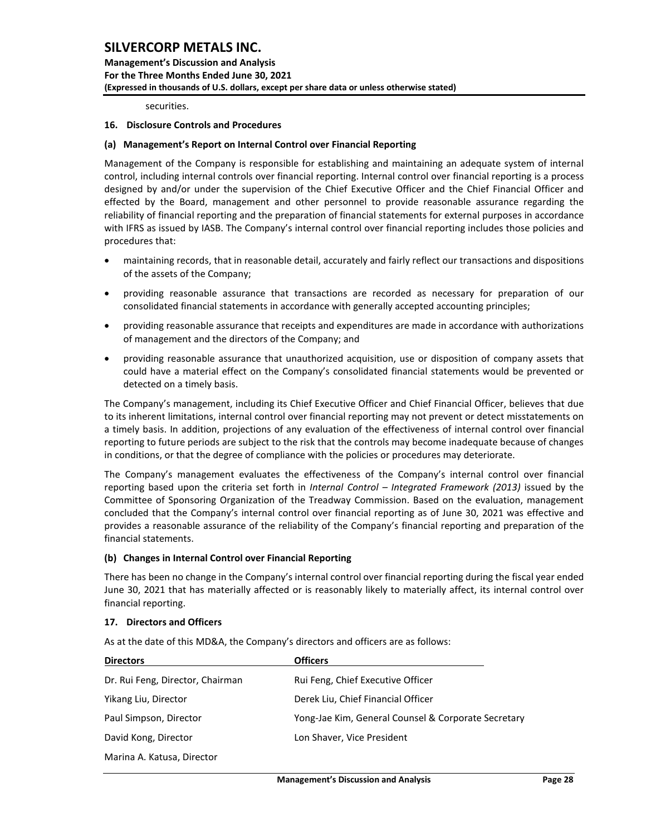**Management's Discussion and Analysis For the Three Months Ended June 30, 2021 (Expressed in thousands of U.S. dollars, except per share data or unless otherwise stated)** 

securities.

### <span id="page-28-0"></span>**16. Disclosure Controls and Procedures**

#### **(a) Management's Report on Internal Control over Financial Reporting**

Management of the Company is responsible for establishing and maintaining an adequate system of internal control, including internal controls over financial reporting. Internal control over financial reporting is a process designed by and/or under the supervision of the Chief Executive Officer and the Chief Financial Officer and effected by the Board, management and other personnel to provide reasonable assurance regarding the reliability of financial reporting and the preparation of financial statements for external purposes in accordance with IFRS as issued by IASB. The Company's internal control over financial reporting includes those policies and procedures that:

- maintaining records, that in reasonable detail, accurately and fairly reflect our transactions and dispositions of the assets of the Company;
- providing reasonable assurance that transactions are recorded as necessary for preparation of our consolidated financial statements in accordance with generally accepted accounting principles;
- providing reasonable assurance that receipts and expenditures are made in accordance with authorizations of management and the directors of the Company; and
- providing reasonable assurance that unauthorized acquisition, use or disposition of company assets that could have a material effect on the Company's consolidated financial statements would be prevented or detected on a timely basis.

The Company's management, including its Chief Executive Officer and Chief Financial Officer, believes that due to its inherent limitations, internal control over financial reporting may not prevent or detect misstatements on a timely basis. In addition, projections of any evaluation of the effectiveness of internal control over financial reporting to future periods are subject to the risk that the controls may become inadequate because of changes in conditions, or that the degree of compliance with the policies or procedures may deteriorate.

The Company's management evaluates the effectiveness of the Company's internal control over financial reporting based upon the criteria set forth in *Internal Control – Integrated Framework (2013)* issued by the Committee of Sponsoring Organization of the Treadway Commission. Based on the evaluation, management concluded that the Company's internal control over financial reporting as of June 30, 2021 was effective and provides a reasonable assurance of the reliability of the Company's financial reporting and preparation of the financial statements.

#### **(b) Changes in Internal Control over Financial Reporting**

There has been no change in the Company's internal control over financial reporting during the fiscal year ended June 30, 2021 that has materially affected or is reasonably likely to materially affect, its internal control over financial reporting.

#### <span id="page-28-1"></span>**17. Directors and Officers**

As at the date of this MD&A, the Company's directors and officers are as follows:

| <b>Directors</b>                 | <b>Officers</b>                                     |
|----------------------------------|-----------------------------------------------------|
| Dr. Rui Feng, Director, Chairman | Rui Feng, Chief Executive Officer                   |
| Yikang Liu, Director             | Derek Liu, Chief Financial Officer                  |
| Paul Simpson, Director           | Yong-Jae Kim, General Counsel & Corporate Secretary |
| David Kong, Director             | Lon Shaver, Vice President                          |
| Marina A. Katusa, Director       |                                                     |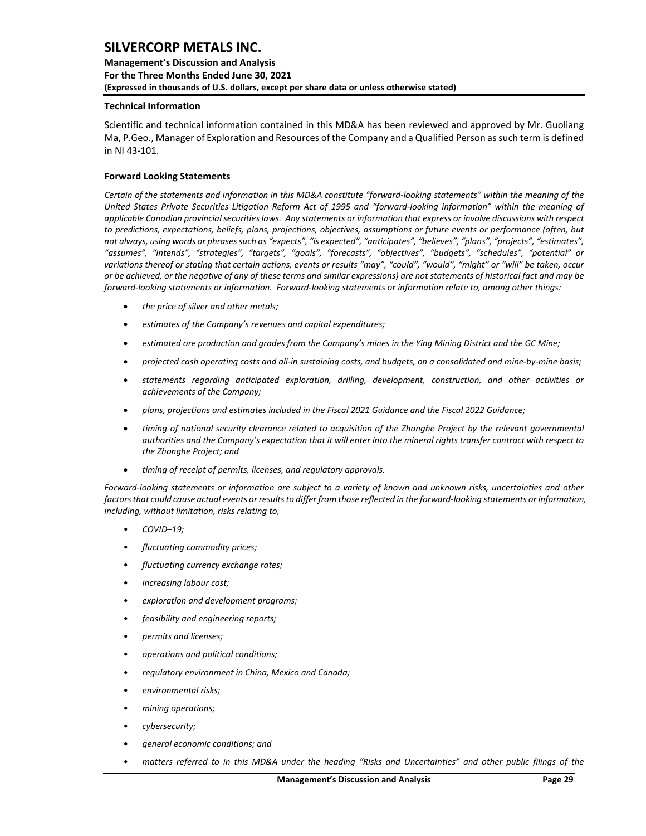**Management's Discussion and Analysis For the Three Months Ended June 30, 2021 (Expressed in thousands of U.S. dollars, except per share data or unless otherwise stated)** 

#### <span id="page-29-0"></span>**Technical Information**

Scientific and technical information contained in this MD&A has been reviewed and approved by Mr. Guoliang Ma, P.Geo., Manager of Exploration and Resources of the Company and a Qualified Person assuch term is defined in NI 43-101.

#### <span id="page-29-1"></span>**Forward Looking Statements**

*Certain of the statements and information in this MD&A constitute "forward-looking statements" within the meaning of the United States Private Securities Litigation Reform Act of 1995 and "forward-looking information" within the meaning of applicable Canadian provincial securities laws. Any statements or information that express or involve discussions with respect to predictions, expectations, beliefs, plans, projections, objectives, assumptions or future events or performance (often, but not always, using words or phrases such as "expects", "is expected", "anticipates", "believes", "plans", "projects", "estimates", "assumes", "intends", "strategies", "targets", "goals", "forecasts", "objectives", "budgets", "schedules", "potential" or variations thereof or stating that certain actions, events or results "may", "could", "would", "might" or "will" be taken, occur or be achieved, or the negative of any of these terms and similar expressions) are not statements of historical fact and may be forward-looking statements or information. Forward-looking statements or information relate to, among other things:*

- *the price of silver and other metals;*
- *estimates of the Company's revenues and capital expenditures;*
- *estimated ore production and grades from the Company's mines in the Ying Mining District and the GC Mine;*
- *projected cash operating costs and all-in sustaining costs, and budgets, on a consolidated and mine-by-mine basis;*
- *statements regarding anticipated exploration, drilling, development, construction, and other activities or achievements of the Company;*
- *plans, projections and estimates included in the Fiscal 2021 Guidance and the Fiscal 2022 Guidance;*
- *timing of national security clearance related to acquisition of the Zhonghe Project by the relevant governmental authorities and the Company's expectation that it will enter into the mineral rights transfer contract with respect to the Zhonghe Project; and*
- *timing of receipt of permits, licenses, and regulatory approvals.*

*Forward-looking statements or information are subject to a variety of known and unknown risks, uncertainties and other factors that could cause actual events or results to differ from those reflected in the forward-looking statements or information, including, without limitation, risks relating to,* 

- *COVID–19;*
- *fluctuating commodity prices;*
- *fluctuating currency exchange rates;*
- *increasing labour cost;*
- *exploration and development programs;*
- *feasibility and engineering reports;*
- *permits and licenses;*
- *operations and political conditions;*
- *regulatory environment in China, Mexico and Canada;*
- *environmental risks;*
- *mining operations;*
- *cybersecurity;*
- *general economic conditions; and*
- *matters referred to in this MD&A under the heading "Risks and Uncertainties" and other public filings of the*